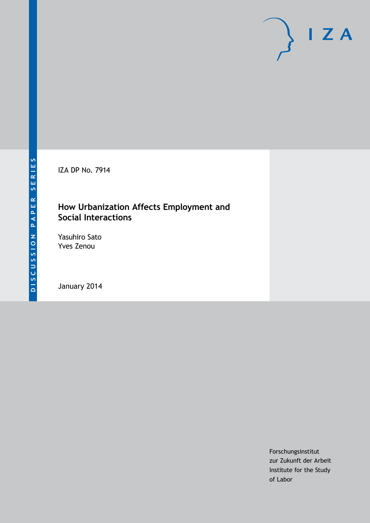IZA DP No. 7914

## **How Urbanization Affects Employment and Social Interactions**

Yasuhiro Sato Yves Zenou

January 2014

Forschungsinstitut zur Zukunft der Arbeit Institute for the Study of Labor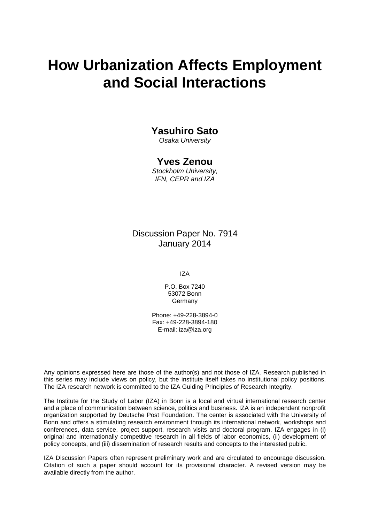# **How Urbanization Affects Employment and Social Interactions**

## **Yasuhiro Sato**

*Osaka University*

## **Yves Zenou**

*Stockholm University, IFN, CEPR and IZA*

Discussion Paper No. 7914 January 2014

IZA

P.O. Box 7240 53072 Bonn Germany

Phone: +49-228-3894-0 Fax: +49-228-3894-180 E-mail: [iza@iza.org](mailto:iza@iza.org)

Any opinions expressed here are those of the author(s) and not those of IZA. Research published in this series may include views on policy, but the institute itself takes no institutional policy positions. The IZA research network is committed to the IZA Guiding Principles of Research Integrity.

The Institute for the Study of Labor (IZA) in Bonn is a local and virtual international research center and a place of communication between science, politics and business. IZA is an independent nonprofit organization supported by Deutsche Post Foundation. The center is associated with the University of Bonn and offers a stimulating research environment through its international network, workshops and conferences, data service, project support, research visits and doctoral program. IZA engages in (i) original and internationally competitive research in all fields of labor economics, (ii) development of policy concepts, and (iii) dissemination of research results and concepts to the interested public.

IZA Discussion Papers often represent preliminary work and are circulated to encourage discussion. Citation of such a paper should account for its provisional character. A revised version may be available directly from the author.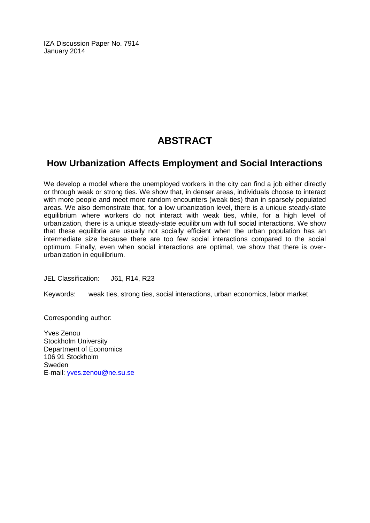IZA Discussion Paper No. 7914 January 2014

## **ABSTRACT**

## **How Urbanization Affects Employment and Social Interactions**

We develop a model where the unemployed workers in the city can find a job either directly or through weak or strong ties. We show that, in denser areas, individuals choose to interact with more people and meet more random encounters (weak ties) than in sparsely populated areas. We also demonstrate that, for a low urbanization level, there is a unique steady-state equilibrium where workers do not interact with weak ties, while, for a high level of urbanization, there is a unique steady-state equilibrium with full social interactions. We show that these equilibria are usually not socially efficient when the urban population has an intermediate size because there are too few social interactions compared to the social optimum. Finally, even when social interactions are optimal, we show that there is overurbanization in equilibrium.

JEL Classification: J61, R14, R23

Keywords: weak ties, strong ties, social interactions, urban economics, labor market

Corresponding author:

Yves Zenou Stockholm University Department of Economics 106 91 Stockholm Sweden E-mail: [yves.zenou@ne.su.se](mailto:yves.zenou@ne.su.se)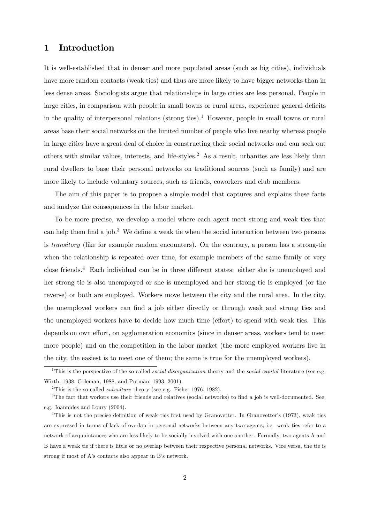## 1 Introduction

It is well-established that in denser and more populated areas (such as big cities), individuals have more random contacts (weak ties) and thus are more likely to have bigger networks than in less dense areas. Sociologists argue that relationships in large cities are less personal. People in large cities, in comparison with people in small towns or rural areas, experience general deficits in the quality of interpersonal relations (strong ties).<sup>1</sup> However, people in small towns or rural areas base their social networks on the limited number of people who live nearby whereas people in large cities have a great deal of choice in constructing their social networks and can seek out others with similar values, interests, and life-styles.<sup>2</sup> As a result, urbanites are less likely than rural dwellers to base their personal networks on traditional sources (such as family) and are more likely to include voluntary sources, such as friends, coworkers and club members.

The aim of this paper is to propose a simple model that captures and explains these facts and analyze the consequences in the labor market.

To be more precise, we develop a model where each agent meet strong and weak ties that can help them find a job.<sup>3</sup> We define a weak tie when the social interaction between two persons is *transitory* (like for example random encounters). On the contrary, a person has a strong-tie when the relationship is repeated over time, for example members of the same family or very close friends.<sup>4</sup> Each individual can be in three different states: either she is unemployed and her strong tie is also unemployed or she is unemployed and her strong tie is employed (or the reverse) or both are employed. Workers move between the city and the rural area. In the city, the unemployed workers can find a job either directly or through weak and strong ties and the unemployed workers have to decide how much time (effort) to spend with weak ties. This depends on own effort, on agglomeration economics (since in denser areas, workers tend to meet more people) and on the competition in the labor market (the more employed workers live in the city, the easiest is to meet one of them; the same is true for the unemployed workers).

<sup>&</sup>lt;sup>1</sup>This is the perspective of the so-called *social disorganization* theory and the *social capital* literature (see e.g. Wirth, 1938, Coleman, 1988, and Putman, 1993, 2001).

<sup>&</sup>lt;sup>2</sup>This is the so-called *subculture* theory (see e.g. Fisher 1976, 1982).

<sup>&</sup>lt;sup>3</sup>The fact that workers use their friends and relatives (social networks) to find a job is well-documented. See, e.g. Ioannides and Loury (2004).

<sup>&</sup>lt;sup>4</sup>This is not the precise definition of weak ties first used by Granovetter. In Granovetter's (1973), weak ties are expressed in terms of lack of overlap in personal networks between any two agents; i.e. weak ties refer to a network of acquaintances who are less likely to be socially involved with one another. Formally, two agents A and B have a weak tie if there is little or no overlap between their respective personal networks. Vice versa, the tie is strong if most of A's contacts also appear in B's network.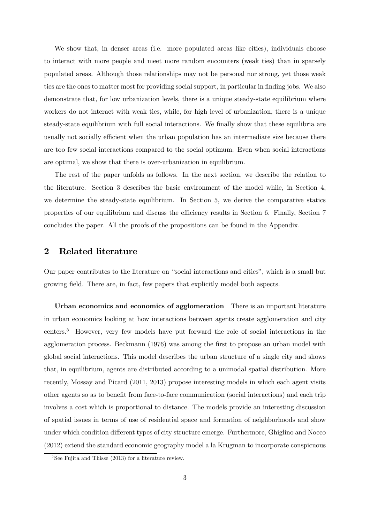We show that, in denser areas (i.e. more populated areas like cities), individuals choose to interact with more people and meet more random encounters (weak ties) than in sparsely populated areas. Although those relationships may not be personal nor strong, yet those weak ties are the ones to matter most for providing social support, in particular in finding jobs. We also demonstrate that, for low urbanization levels, there is a unique steady-state equilibrium where workers do not interact with weak ties, while, for high level of urbanization, there is a unique steady-state equilibrium with full social interactions. We finally show that these equilibria are usually not socially efficient when the urban population has an intermediate size because there are too few social interactions compared to the social optimum. Even when social interactions are optimal, we show that there is over-urbanization in equilibrium.

The rest of the paper unfolds as follows. In the next section, we describe the relation to the literature. Section 3 describes the basic environment of the model while, in Section 4, we determine the steady-state equilibrium. In Section 5, we derive the comparative statics properties of our equilibrium and discuss the efficiency results in Section 6. Finally, Section 7 concludes the paper. All the proofs of the propositions can be found in the Appendix.

### 2 Related literature

Our paper contributes to the literature on "social interactions and cities", which is a small but growing field. There are, in fact, few papers that explicitly model both aspects.

Urban economics and economics of agglomeration There is an important literature in urban economics looking at how interactions between agents create agglomeration and city centers.5 However, very few models have put forward the role of social interactions in the agglomeration process. Beckmann (1976) was among the first to propose an urban model with global social interactions. This model describes the urban structure of a single city and shows that, in equilibrium, agents are distributed according to a unimodal spatial distribution. More recently, Mossay and Picard (2011, 2013) propose interesting models in which each agent visits other agents so as to benefit from face-to-face communication (social interactions) and each trip involves a cost which is proportional to distance. The models provide an interesting discussion of spatial issues in terms of use of residential space and formation of neighborhoods and show under which condition different types of city structure emerge. Furthermore, Ghiglino and Nocco (2012) extend the standard economic geography model a la Krugman to incorporate conspicuous

 $5$ See Fujita and Thisse (2013) for a literature review.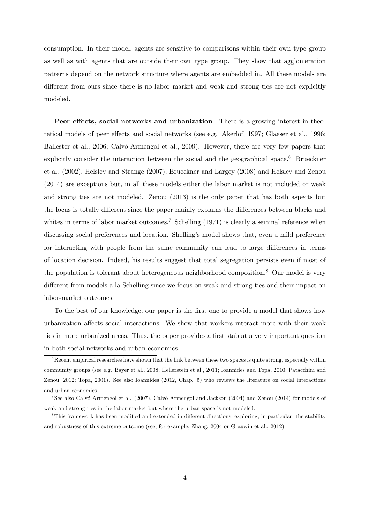consumption. In their model, agents are sensitive to comparisons within their own type group as well as with agents that are outside their own type group. They show that agglomeration patterns depend on the network structure where agents are embedded in. All these models are different from ours since there is no labor market and weak and strong ties are not explicitly modeled.

Peer effects, social networks and urbanization There is a growing interest in theoretical models of peer effects and social networks (see e.g. Akerlof, 1997; Glaeser et al., 1996; Ballester et al., 2006; Calvó-Armengol et al., 2009). However, there are very few papers that explicitly consider the interaction between the social and the geographical space.<sup>6</sup> Brueckner et al. (2002), Helsley and Strange (2007), Brueckner and Largey (2008) and Helsley and Zenou (2014) are exceptions but, in all these models either the labor market is not included or weak and strong ties are not modeled. Zenou (2013) is the only paper that has both aspects but the focus is totally different since the paper mainly explains the differences between blacks and whites in terms of labor market outcomes.<sup>7</sup> Schelling (1971) is clearly a seminal reference when discussing social preferences and location. Shelling's model shows that, even a mild preference for interacting with people from the same community can lead to large differences in terms of location decision. Indeed, his results suggest that total segregation persists even if most of the population is tolerant about heterogeneous neighborhood composition.8 Our model is very different from models a la Schelling since we focus on weak and strong ties and their impact on labor-market outcomes.

To the best of our knowledge, our paper is the first one to provide a model that shows how urbanization affects social interactions. We show that workers interact more with their weak ties in more urbanized areas. Thus, the paper provides a first stab at a very important question in both social networks and urban economics.

 $6R$ ecent empirical researches have shown that the link between these two spaces is quite strong, especially within community groups (see e.g. Bayer et al., 2008; Hellerstein et al., 2011; Ioannides and Topa, 2010; Patacchini and Zenou, 2012; Topa, 2001). See also Ioannides (2012, Chap. 5) who reviews the literature on social interactions and urban economics.

<sup>7</sup>See also Calvó-Armengol et al. (2007), Calvó-Armengol and Jackson (2004) and Zenou (2014) for models of weak and strong ties in the labor market but where the urban space is not modeled.

<sup>&</sup>lt;sup>8</sup>This framework has been modified and extended in different directions, exploring, in particular, the stability and robustness of this extreme outcome (see, for example, Zhang, 2004 or Grauwin et al., 2012).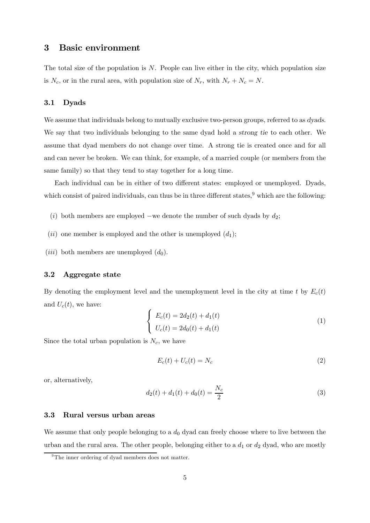## 3 Basic environment

The total size of the population is  $N$ . People can live either in the city, which population size is  $N_c$ , or in the rural area, with population size of  $N_r$ , with  $N_r + N_c = N$ .

#### 3.1 Dyads

We assume that individuals belong to mutually exclusive two-person groups, referred to as dyads. We say that two individuals belonging to the same dyad hold a strong tie to each other. We assume that dyad members do not change over time. A strong tie is created once and for all and can never be broken. We can think, for example, of a married couple (or members from the same family) so that they tend to stay together for a long time.

Each individual can be in either of two different states: employed or unemployed. Dyads, which consist of paired individuals, can thus be in three different states,  $9$  which are the following:

- (i) both members are employed –we denote the number of such dyads by  $d_2$ ;
- (ii) one member is employed and the other is unemployed  $(d_1)$ ;
- (*iii*) both members are unemployed  $(d_0)$ .

#### 3.2 Aggregate state

By denoting the employment level and the unemployment level in the city at time t by  $E_c(t)$ and  $U_c(t)$ , we have:

$$
\begin{cases}\nE_c(t) = 2d_2(t) + d_1(t) \\
U_c(t) = 2d_0(t) + d_1(t)\n\end{cases}
$$
\n(1)

Since the total urban population is  $N_c$ , we have

$$
E_c(t) + U_c(t) = N_c \tag{2}
$$

or, alternatively,

$$
d_2(t) + d_1(t) + d_0(t) = \frac{N_c}{2}
$$
\n(3)

#### 3.3 Rural versus urban areas

We assume that only people belonging to a  $d_0$  dyad can freely choose where to live between the urban and the rural area. The other people, belonging either to a  $d_1$  or  $d_2$  dyad, who are mostly

 $9^9$ The inner ordering of dyad members does not matter.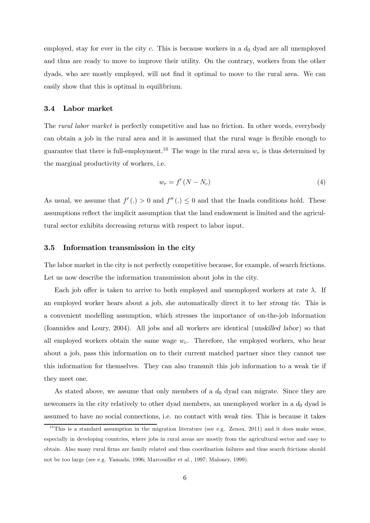employed, stay for ever in the city c. This is because workers in a  $d_0$  dyad are all unemployed and thus are ready to move to improve their utility. On the contrary, workers from the other dyads, who are mostly employed, will not find it optimal to move to the rural area. We can easily show that this is optimal in equilibrium.

#### 3.4 Labor market

The *rural labor market* is perfectly competitive and has no friction. In other words, everybody can obtain a job in the rural area and it is assumed that the rural wage is flexible enough to guarantee that there is full-employment.<sup>10</sup> The wage in the rural area  $w_r$  is thus determined by the marginal productivity of workers, i.e.

$$
w_r = f'(N - N_c) \tag{4}
$$

As usual, we assume that  $f'(.) > 0$  and  $f''(.) \leq 0$  and that the Inada conditions hold. These assumptions reflect the implicit assumption that the land endowment is limited and the agricultural sector exhibits decreasing returns with respect to labor input.

#### 3.5 Information transmission in the city

The labor market in the city is not perfectly competitive because, for example, of search frictions. Let us now describe the information transmission about jobs in the city.

Each job offer is taken to arrive to both employed and unemployed workers at rate  $\lambda$ . If an employed worker hears about a job, she automatically direct it to her strong tie. This is a convenient modelling assumption, which stresses the importance of on-the-job information (Ioannides and Loury, 2004). All jobs and all workers are identical (unskilled labor) so that all employed workers obtain the same wage  $w_c$ . Therefore, the employed workers, who hear about a job, pass this information on to their current matched partner since they cannot use this information for themselves. They can also transmit this job information to a weak tie if they meet one.

As stated above, we assume that only members of a  $d_0$  dyad can migrate. Since they are newcomers in the city relatively to other dyad members, an unemployed worker in a  $d_0$  dyad is assumed to have no social connections, i.e. no contact with weak ties. This is because it takes

 $10$ This is a standard assumption in the migration literature (see e.g. Zenou, 2011) and it does make sense, especially in developing countries, where jobs in rural areas are mostly from the agricultural sector and easy to obtain. Also many rural firms are family related and thus coordination failures and thus search frictions should not be too large (see e.g. Yamada, 1996; Marcouiller et al., 1997; Maloney, 1999).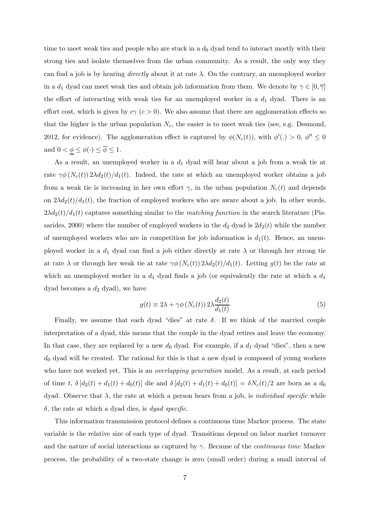time to meet weak ties and people who are stuck in a  $d_0$  dyad tend to interact mostly with their strong ties and isolate themselves from the urban community. As a result, the only way they can find a job is by hearing *directly* about it at rate  $\lambda$ . On the contrary, an unemployed worker in a  $d_1$  dyad can meet weak ties and obtain job information from them. We denote by  $\gamma \in [0, \overline{\gamma}]$ the effort of interacting with weak ties for an unemployed worker in a  $d_1$  dyad. There is an effort cost, which is given by  $c\gamma$  ( $c > 0$ ). We also assume that there are agglomeration effects so that the higher is the urban population  $N_c$ , the easier is to meet weak ties (see, e.g. Desmond, 2012, for evidence). The agglomeration effect is captured by  $\phi(N_c(t))$ , with  $\phi'(\cdot) > 0$ ,  $\phi'' \le 0$ and  $0 < \underline{\phi} \leq \phi(\cdot) \leq \overline{\phi} \leq 1.$ 

As a result, an unemployed worker in a  $d_1$  dyad will hear about a job from a weak tie at rate  $\gamma \phi(N_c(t)) 2\lambda d_2(t)/d_1(t)$ . Indeed, the rate at which an unemployed worker obtains a job from a weak tie is increasing in her own effort  $\gamma$ , in the urban population  $N_c(t)$  and depends on  $2\lambda d_2(t)/d_1(t)$ , the fraction of employed workers who are aware about a job. In other words,  $2\lambda d_2(t)/d_1(t)$  captures something similar to the *matching function* in the search literature (Pissarides, 2000) where the number of employed workers in the  $d_2$  dyad is  $2d_2(t)$  while the number of unemployed workers who are in competition for job information is  $d_1(t)$ . Hence, an unemployed worker in a  $d_1$  dyad can find a job either directly at rate  $\lambda$  or through her strong tie at rate  $\lambda$  or through her weak tie at rate  $\gamma \phi(N_c(t)) 2\lambda d_2(t)/d_1(t)$ . Letting  $g(t)$  be the rate at which an unemployed worker in a  $d_1$  dyad finds a job (or equivalently the rate at which a  $d_1$ dyad becomes a  $d_2$  dyad), we have

$$
g(t) \equiv 2\lambda + \gamma \phi \left( N_c(t) \right) 2\lambda \frac{d_2(t)}{d_1(t)}
$$
\n<sup>(5)</sup>

Finally, we assume that each dyad "dies" at rate  $\delta$ . If we think of the married couple interpretation of a dyad, this means that the couple in the dyad retires and leave the economy. In that case, they are replaced by a new  $d_0$  dyad. For example, if a  $d_1$  dyad "dies", then a new  $d_0$  dyad will be created. The rational for this is that a new dyad is composed of young workers who have not worked yet. This is an *overlapping generation* model. As a result, at each period of time t,  $\delta [d_2(t) + d_1(t) + d_0(t)]$  die and  $\delta [d_2(t) + d_1(t) + d_0(t)] = \delta N_c(t)/2$  are born as a  $d_0$ dyad. Observe that  $\lambda$ , the rate at which a person hears from a job, is *individual specific* while  $\delta$ , the rate at which a dyad dies, is *dyad specific*.

This information transmission protocol defines a continuous time Markov process. The state variable is the relative size of each type of dyad. Transitions depend on labor market turnover and the nature of social interactions as captured by  $\gamma$ . Because of the *continuous time* Markov process, the probability of a two-state change is zero (small order) during a small interval of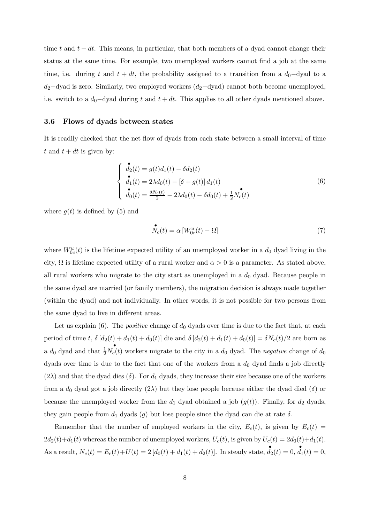time t and  $t + dt$ . This means, in particular, that both members of a dyad cannot change their status at the same time. For example, two unemployed workers cannot find a job at the same time, i.e. during t and  $t + dt$ , the probability assigned to a transition from a  $d_0$ -dyad to a  $d_2$ -dyad is zero. Similarly, two employed workers  $(d_2$ -dyad) cannot both become unemployed, i.e. switch to a  $d_0$ -dyad during  $t$  and  $t + dt$ . This applies to all other dyads mentioned above.

#### 3.6 Flows of dyads between states

It is readily checked that the net flow of dyads from each state between a small interval of time t and  $t + dt$  is given by:

$$
\begin{cases}\n\mathbf{d}_2(t) = g(t)d_1(t) - \delta d_2(t) \\
\mathbf{d}_1(t) = 2\lambda d_0(t) - [\delta + g(t)] d_1(t) \\
\mathbf{d}_0(t) = \frac{\delta N_c(t)}{2} - 2\lambda d_0(t) - \delta d_0(t) + \frac{1}{2}N_c(t)\n\end{cases} (6)
$$

where  $q(t)$  is defined by (5) and

$$
\stackrel{\bullet}{N_c}(t) = \alpha \left[ W^u_{0c}(t) - \Omega \right] \tag{7}
$$

where  $W_{0c}^u(t)$  is the lifetime expected utility of an unemployed worker in a  $d_0$  dyad living in the city,  $\Omega$  is lifetime expected utility of a rural worker and  $\alpha > 0$  is a parameter. As stated above, all rural workers who migrate to the city start as unemployed in a  $d_0$  dyad. Because people in the same dyad are married (or family members), the migration decision is always made together (within the dyad) and not individually. In other words, it is not possible for two persons from the same dyad to live in different areas.

Let us explain (6). The *positive* change of  $d_0$  dyads over time is due to the fact that, at each period of time t,  $\delta [d_2(t) + d_1(t) + d_0(t)]$  die and  $\delta [d_2(t) + d_1(t) + d_0(t)] = \delta N_c(t)/2$  are born as a  $d_0$  dyad and that  $\frac{1}{2}$  $\overrightarrow{N_c}(t)$  workers migrate to the city in a  $d_0$  dyad. The negative change of  $d_0$ dyads over time is due to the fact that one of the workers from a  $d_0$  dyad finds a job directly  $(2\lambda)$  and that the dyad dies  $(\delta)$ . For  $d_1$  dyads, they increase their size because one of the workers from a  $d_0$  dyad got a job directly  $(2\lambda)$  but they lose people because either the dyad died  $(\delta)$  or because the unemployed worker from the  $d_1$  dyad obtained a job  $(g(t))$ . Finally, for  $d_2$  dyads, they gain people from  $d_1$  dyads  $(g)$  but lose people since the dyad can die at rate  $\delta$ .

Remember that the number of employed workers in the city,  $E_c(t)$ , is given by  $E_c(t)$  $2d_2(t)+d_1(t)$  whereas the number of unemployed workers,  $U_c(t)$ , is given by  $U_c(t)=2d_0(t)+d_1(t)$ . As a result,  $N_c(t) = E_c(t) + U(t) = 2 [d_0(t) + d_1(t) + d_2(t)].$  In steady state,  $d_2(t) = 0, d_1(t) = 0$ ,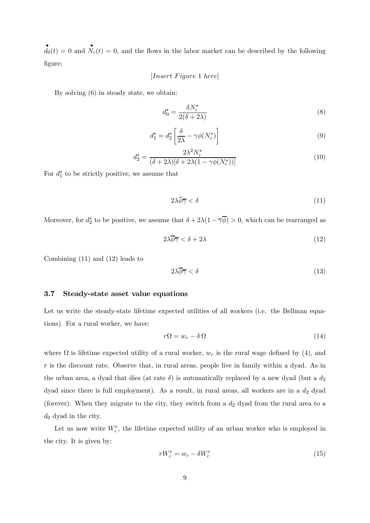$\mathbf{d}_0(t) = 0$  and  $\mathbf{N}_c(t) = 0$ , and the flows in the labor market can be described by the following figure:

 $[Insert \ Figure\ 1 \ here]$ 

By solving (6) in steady state, we obtain:

$$
d_0^* = \frac{\delta N_c^*}{2(\delta + 2\lambda)}\tag{8}
$$

$$
d_1^* = d_2^* \left[ \frac{\delta}{2\lambda} - \gamma \phi(N_c^*) \right] \tag{9}
$$

$$
d_2^* = \frac{2\lambda^2 N_c^*}{(\delta + 2\lambda)[\delta + 2\lambda(1 - \gamma\phi(N_c^*))]}
$$
(10)

For  $d_1^*$  to be strictly positive, we assume that

$$
2\lambda \overline{\phi} \overline{\gamma} < \delta \tag{11}
$$

Moreover, for  $d_2^*$  to be positive, we assume that  $\delta + 2\lambda(1 - \overline{\gamma}\phi) > 0$ , which can be rearranged as

$$
2\lambda \overline{\phi} \overline{\gamma} < \delta + 2\lambda \tag{12}
$$

Combining (11) and (12) leads to

$$
2\lambda \overline{\phi} \overline{\gamma} < \delta \tag{13}
$$

#### 3.7 Steady-state asset value equations

Let us write the steady-state lifetime expected utilities of all workers (i.e. the Bellman equations). For a rural worker, we have:

$$
r\Omega = w_r - \delta\Omega\tag{14}
$$

where  $\Omega$  is lifetime expected utility of a rural worker,  $w_r$  is the rural wage defined by (4), and  $\dot{r}$  is the discount rate. Observe that, in rural areas, people live in family within a dyad. As in the urban area, a dyad that dies (at rate  $\delta$ ) is automatically replaced by a new dyad (but a  $d_2$ dyad since there is full employment). As a result, in rural areas, all workers are in a  $d_2$  dyad (forever). When they migrate to the city, they switch from a  $d_2$  dyad from the rural area to a  $d_0$  dyad in the city.

Let us now write  $W_c^e$ , the lifetime expected utility of an urban worker who is employed in the city. It is given by:

$$
rW_c^e = w_c - \delta W_c^e \tag{15}
$$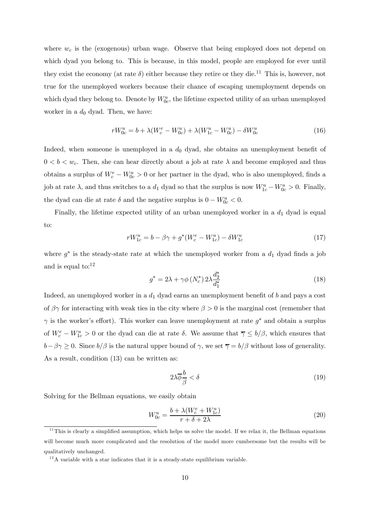where  $w_c$  is the (exogenous) urban wage. Observe that being employed does not depend on which dyad you belong to. This is because, in this model, people are employed for ever until they exist the economy (at rate  $\delta$ ) either because they retire or they die.<sup>11</sup> This is, however, not true for the unemployed workers because their chance of escaping unemployment depends on which dyad they belong to. Denote by  $W_{0c}^u$ , the lifetime expected utility of an urban unemployed worker in a  $d_0$  dyad. Then, we have:

$$
rW_{0c}^{u} = b + \lambda (W_{c}^{e} - W_{0c}^{u}) + \lambda (W_{1c}^{u} - W_{0c}^{u}) - \delta W_{0c}^{u}
$$
\n(16)

Indeed, when someone is unemployed in a  $d_0$  dyad, she obtains an unemployment benefit of  $0 < b < w_c$ . Then, she can hear directly about a job at rate  $\lambda$  and become employed and thus obtains a surplus of  $W_c^e - W_{0c}^u > 0$  or her partner in the dyad, who is also unemployed, finds a job at rate  $\lambda$ , and thus switches to a  $d_1$  dyad so that the surplus is now  $W_{1c}^u - W_{0c}^u > 0$ . Finally, the dyad can die at rate  $\delta$  and the negative surplus is  $0 - W_{0c}^u < 0$ .

Finally, the lifetime expected utility of an urban unemployed worker in a  $d_1$  dyad is equal to:

$$
rW_{1c}^{u} = b - \beta \gamma + g^{*}(W_{c}^{e} - W_{1c}^{u}) - \delta W_{1c}^{u}
$$
\n(17)

where  $g^*$  is the steady-state rate at which the unemployed worker from a  $d_1$  dyad finds a job and is equal to:12

$$
g^* = 2\lambda + \gamma \phi \left(N_c^*\right) 2\lambda \frac{d_2^*}{d_1^*} \tag{18}
$$

Indeed, an unemployed worker in a  $d_1$  dyad earns an unemployment benefit of  $b$  and pays a cost of  $\beta\gamma$  for interacting with weak ties in the city where  $\beta > 0$  is the marginal cost (remember that  $\gamma$  is the worker's effort). This worker can leave unemployment at rate  $g^*$  and obtain a surplus of  $W_c^e - W_{1c}^u > 0$  or the dyad can die at rate  $\delta$ . We assume that  $\overline{\gamma} \leq b/\beta$ , which ensures that  $b-\beta\gamma \geq 0$ . Since  $b/\beta$  is the natural upper bound of  $\gamma$ , we set  $\overline{\gamma} = b/\beta$  without loss of generality. As a result, condition (13) can be written as:

$$
2\lambda \overline{\phi} \frac{b}{\beta} < \delta \tag{19}
$$

Solving for the Bellman equations, we easily obtain

$$
W_{0c}^{u} = \frac{b + \lambda (W_c^e + W_{1c}^u)}{r + \delta + 2\lambda}
$$
\n
$$
(20)
$$

 $11$ This is clearly a simplified assumption, which helps us solve the model. If we relax it, the Bellman equations will become much more complicated and the resolution of the model more cumbersome but the results will be qualitatively unchanged.

 $12A$  variable with a star indicates that it is a steady-state equilibrium variable.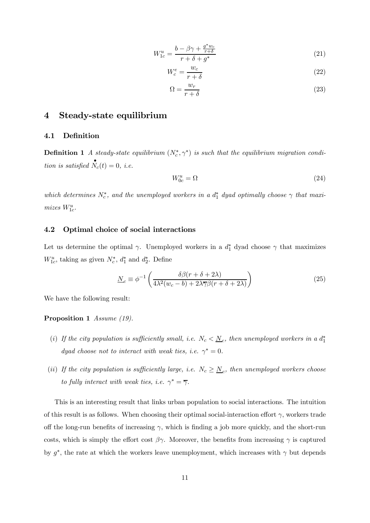$$
W_{1c}^{u} = \frac{b - \beta\gamma + \frac{g^*w_c}{r+\delta}}{r+\delta+g^*}
$$
\n(21)

$$
W_c^e = \frac{w_c}{r + \delta} \tag{22}
$$

$$
\Omega = \frac{w_r}{r + \delta} \tag{23}
$$

## 4 Steady-state equilibrium

#### 4.1 Definition

**Definition 1** A steady-state equilibrium  $(N_c^*, \gamma^*)$  is such that the equilibrium migration condition is satisfied  $\stackrel{\bullet}{N}_c(t)=0$ , i.e.

$$
W_{0c}^u = \Omega \tag{24}
$$

which determines  $N_c^*$ , and the unemployed workers in a  $d_1^*$  dyad optimally choose  $\gamma$  that maximizes  $W^u_{1c}$ .

#### 4.2 Optimal choice of social interactions

Let us determine the optimal  $\gamma$ . Unemployed workers in a  $d_1^*$  dyad choose  $\gamma$  that maximizes  $W_{1c}^u$ , taking as given  $N_c^*$ ,  $d_1^*$  and  $d_2^*$ . Define

$$
\underline{N}_c \equiv \phi^{-1} \left( \frac{\delta \beta (r + \delta + 2\lambda)}{4\lambda^2 (w_c - b) + 2\lambda \overline{\gamma} \beta (r + \delta + 2\lambda)} \right) \tag{25}
$$

We have the following result:

#### Proposition 1 Assume (19).

- (i) If the city population is sufficiently small, i.e.  $N_c < \underline{N}_c$ , then unemployed workers in a  $d_1^*$ dyad choose not to interact with weak ties, i.e.  $\gamma^* = 0$ .
- (ii) If the city population is sufficiently large, i.e.  $N_c \geq N_c$ , then unemployed workers choose to fully interact with weak ties, i.e.  $\gamma^* = \overline{\gamma}$ .

This is an interesting result that links urban population to social interactions. The intuition of this result is as follows. When choosing their optimal social-interaction effort  $\gamma$ , workers trade off the long-run benefits of increasing  $\gamma$ , which is finding a job more quickly, and the short-run costs, which is simply the effort cost  $\beta\gamma$ . Moreover, the benefits from increasing  $\gamma$  is captured by  $g^*$ , the rate at which the workers leave unemployment, which increases with  $\gamma$  but depends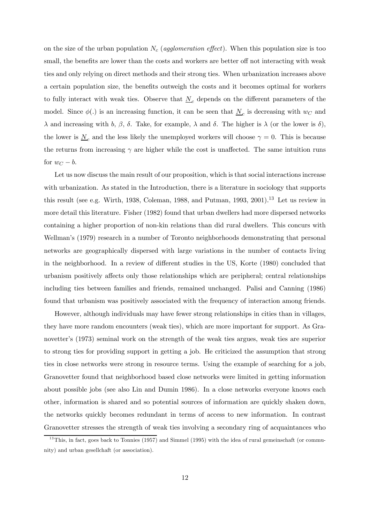on the size of the urban population  $N_c$  (agglomeration effect). When this population size is too small, the benefits are lower than the costs and workers are better off not interacting with weak ties and only relying on direct methods and their strong ties. When urbanization increases above a certain population size, the benefits outweigh the costs and it becomes optimal for workers to fully interact with weak ties. Observe that  $N_c$  depends on the different parameters of the model. Since  $\phi(.)$  is an increasing function, it can be seen that  $N_c$  is decreasing with  $w_C$  and  $\lambda$  and increasing with b,  $\beta$ ,  $\delta$ . Take, for example,  $\lambda$  and  $\delta$ . The higher is  $\lambda$  (or the lower is  $\delta$ ), the lower is  $N_c$  and the less likely the unemployed workers will choose  $\gamma = 0$ . This is because the returns from increasing  $\gamma$  are higher while the cost is unaffected. The same intuition runs for  $w_C - b$ .

Let us now discuss the main result of our proposition, which is that social interactions increase with urbanization. As stated in the Introduction, there is a literature in sociology that supports this result (see e.g. Wirth, 1938, Coleman, 1988, and Putman, 1993, 2001).<sup>13</sup> Let us review in more detail this literature. Fisher (1982) found that urban dwellers had more dispersed networks containing a higher proportion of non-kin relations than did rural dwellers. This concurs with Wellman's (1979) research in a number of Toronto neighborhoods demonstrating that personal networks are geographically dispersed with large variations in the number of contacts living in the neighborhood. In a review of different studies in the US, Korte (1980) concluded that urbanism positively affects only those relationships which are peripheral; central relationships including ties between families and friends, remained unchanged. Palisi and Canning (1986) found that urbanism was positively associated with the frequency of interaction among friends.

However, although individuals may have fewer strong relationships in cities than in villages, they have more random encounters (weak ties), which are more important for support. As Granovetter's (1973) seminal work on the strength of the weak ties argues, weak ties are superior to strong ties for providing support in getting a job. He criticized the assumption that strong ties in close networks were strong in resource terms. Using the example of searching for a job, Granovetter found that neighborhood based close networks were limited in getting information about possible jobs (see also Lin and Dumin 1986). In a close networks everyone knows each other, information is shared and so potential sources of information are quickly shaken down, the networks quickly becomes redundant in terms of access to new information. In contrast Granovetter stresses the strength of weak ties involving a secondary ring of acquaintances who

 $13$ This, in fact, goes back to Tonnies (1957) and Simmel (1995) with the idea of rural gemeinschaft (or community) and urban gesellchaft (or association).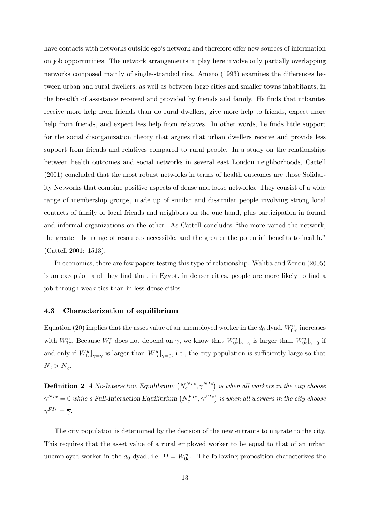have contacts with networks outside ego's network and therefore offer new sources of information on job opportunities. The network arrangements in play here involve only partially overlapping networks composed mainly of single-stranded ties. Amato (1993) examines the differences between urban and rural dwellers, as well as between large cities and smaller towns inhabitants, in the breadth of assistance received and provided by friends and family. He finds that urbanites receive more help from friends than do rural dwellers, give more help to friends, expect more help from friends, and expect less help from relatives. In other words, he finds little support for the social disorganization theory that argues that urban dwellers receive and provide less support from friends and relatives compared to rural people. In a study on the relationships between health outcomes and social networks in several east London neighborhoods, Cattell (2001) concluded that the most robust networks in terms of health outcomes are those Solidarity Networks that combine positive aspects of dense and loose networks. They consist of a wide range of membership groups, made up of similar and dissimilar people involving strong local contacts of family or local friends and neighbors on the one hand, plus participation in formal and informal organizations on the other. As Cattell concludes "the more varied the network, the greater the range of resources accessible, and the greater the potential benefits to health." (Cattell 2001: 1513).

In economics, there are few papers testing this type of relationship. Wahba and Zenou (2005) is an exception and they find that, in Egypt, in denser cities, people are more likely to find a job through weak ties than in less dense cities.

#### 4.3 Characterization of equilibrium

Equation (20) implies that the asset value of an unemployed worker in the  $d_0$  dyad,  $W_{0c}^u$ , increases with  $W_{1c}^u$ . Because  $W_c^e$  does not depend on  $\gamma$ , we know that  $W_{0c}^u|_{\gamma=\overline{\gamma}}$  is larger than  $W_{0c}^u|_{\gamma=0}$  if and only if  $W^u_{1c}|_{\gamma=\overline{\gamma}}$  is larger than  $W^u_{1c}|_{\gamma=0}$ , i.e., the city population is sufficiently large so that  $N_c > \underline{N}_c$ .

**Definition 2** A No-Interaction Equilibrium  $(N_c^{NI*}, \gamma^{NI*})$  is when all workers in the city choose  $\gamma^{NI*}=0$  while a Full-Interaction Equilibrium  $\left(N_c^{FI*},\gamma^{FI*}\right)$  is when all workers in the city choose  $\gamma^{FI*} = \overline{\gamma}.$ 

The city population is determined by the decision of the new entrants to migrate to the city. This requires that the asset value of a rural employed worker to be equal to that of an urban unemployed worker in the  $d_0$  dyad, i.e.  $\Omega = W_{0c}^u$ . The following proposition characterizes the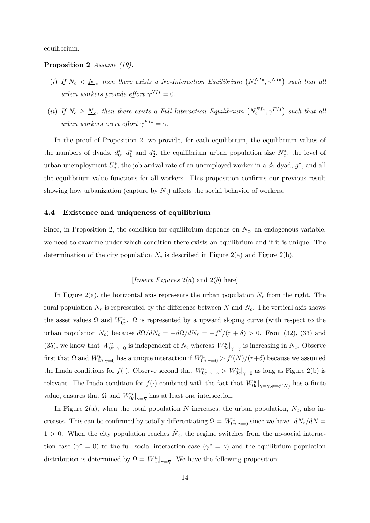equilibrium.

#### Proposition 2 Assume (19).

- (i) If  $N_c < N_c$ , then there exists a No-Interaction Equilibrium  $(N_c^{NI*}, \gamma^{NI*})$  such that all urban workers provide effort  $\gamma^{NI*} = 0$ .
- (ii) If  $N_c \geq N_c$ , then there exists a Full-Interaction Equilibrium  $(N_c^{FI*}, \gamma^{FI*})$  such that all urban workers exert effort  $\gamma^{FI*} = \overline{\gamma}$ .

In the proof of Proposition 2, we provide, for each equilibrium, the equilibrium values of the numbers of dyads,  $d_0^*$ ,  $d_1^*$  and  $d_2^*$ , the equilibrium urban population size  $N_c^*$ , the level of urban unemployment  $U_c^*$ , the job arrival rate of an unemployed worker in a  $d_1$  dyad,  $g^*$ , and all the equilibrium value functions for all workers. This proposition confirms our previous result showing how urbanization (capture by  $N_c$ ) affects the social behavior of workers.

#### 4.4 Existence and uniqueness of equilibrium

Since, in Proposition 2, the condition for equilibrium depends on  $N_c$ , an endogenous variable, we need to examine under which condition there exists an equilibrium and if it is unique. The determination of the city population  $N_c$  is described in Figure 2(a) and Figure 2(b).

#### [*Insert Figures*  $2(a)$  and  $2(b)$  here]

In Figure 2(a), the horizontal axis represents the urban population  $N_c$  from the right. The rural population  $N_r$  is represented by the difference between N and  $N_c$ . The vertical axis shows the asset values  $\Omega$  and  $W_{0c}^u$ .  $\Omega$  is represented by a upward sloping curve (with respect to the urban population  $N_c$ ) because  $d\Omega/dN_c = -d\Omega/dN_r = -f''/(r+\delta) > 0$ . From (32), (33) and (35), we know that  $W^u_{0c}|_{\gamma=0}$  is independent of  $N_c$  whereas  $W^u_{0c}|_{\gamma=\overline{\gamma}}$  is increasing in  $N_c$ . Observe first that  $\Omega$  and  $W^u_{0c}|_{\gamma=0}$  has a unique interaction if  $W^u_{0c}|_{\gamma=0} > f'(N)/(r+\delta)$  because we assumed the Inada conditions for  $f(\cdot)$ . Observe second that  $W^u_{0c}|_{\gamma=\overline{\gamma}} > W^u_{0c}|_{\gamma=0}$  as long as Figure 2(b) is relevant. The Inada condition for  $f(\cdot)$  combined with the fact that  $W^u_{0c}|_{\gamma=\overline{\gamma},\phi=\phi(N)}$  has a finite value, ensures that  $\Omega$  and  $W^u_{0c}|_{\gamma=\overline{\gamma}}$  has at least one intersection.

In Figure 2(a), when the total population  $N$  increases, the urban population,  $N_c$ , also increases. This can be confirmed by totally differentiating  $\Omega = W_{0c}^u|_{\gamma=0}$  since we have:  $dN_c/dN =$  $1 > 0$ . When the city population reaches  $\hat{N}_c$ , the regime switches from the no-social interaction case ( $\gamma^* = 0$ ) to the full social interaction case ( $\gamma^* = \overline{\gamma}$ ) and the equilibrium population distribution is determined by  $\Omega = W^u_{0c}|_{\gamma = \overline{\gamma}}$ . We have the following proposition: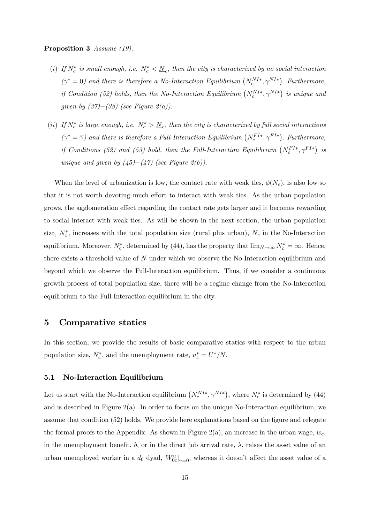#### Proposition 3 Assume (19).

- (i) If  $N_c^*$  is small enough, i.e.  $N_c^* < \underline{N}_c$ , then the city is characterized by no social interaction  $(\gamma^* = 0)$  and there is therefore a No-Interaction Equilibrium  $(N_c^{NI*}, \gamma^{NI*})$ . Furthermore, if Condition (52) holds, then the No-Interaction Equilibrium  $(N_c^{NI*}, \gamma^{NI*})$  is unique and given by  $(37)–(38)$  (see Figure 2(a)).
- (ii) If  $N_c^*$  is large enough, i.e.  $N_c^* > \underline{N}_c$ , then the city is characterized by full social interactions  $(\gamma^* = \overline{\gamma})$  and there is therefore a Full-Interaction Equilibrium  $(N_c^{FI*}, \gamma^{FI*})$ . Furthermore, if Conditions (52) and (53) hold, then the Full-Interaction Equilibrium  $(N_c^{FI*}, \gamma^{FI*})$  is unique and given by  $(45)–(47)$  (see Figure 2(b)).

When the level of urbanization is low, the contact rate with weak ties,  $\phi(N_c)$ , is also low so that it is not worth devoting much effort to interact with weak ties. As the urban population grows, the agglomeration effect regarding the contact rate gets larger and it becomes rewarding to social interact with weak ties. As will be shown in the next section, the urban population size,  $N_c^*$ , increases with the total population size (rural plus urban), N, in the No-Interaction equilibrium. Moreover,  $N_c^*$ , determined by (44), has the property that  $\lim_{N\to\infty} N_c^* = \infty$ . Hence, there exists a threshold value of  $N$  under which we observe the No-Interaction equilibrium and beyond which we observe the Full-Interaction equilibrium. Thus, if we consider a continuous growth process of total population size, there will be a regime change from the No-Interaction equilibrium to the Full-Interaction equilibrium in the city.

### 5 Comparative statics

In this section, we provide the results of basic comparative statics with respect to the urban population size,  $N_c^*$ , and the unemployment rate,  $u_c^* = U^* / N$ .

#### 5.1 No-Interaction Equilibrium

Let us start with the No-Interaction equilibrium  $(N_c^{NI*}, \gamma^{NI*})$ , where  $N_c^*$  is determined by (44) and is described in Figure  $2(a)$ . In order to focus on the unique No-Interaction equilibrium, we assume that condition (52) holds. We provide here explanations based on the figure and relegate the formal proofs to the Appendix. As shown in Figure 2(a), an increase in the urban wage,  $w_c$ , in the unemployment benefit, b, or in the direct job arrival rate,  $\lambda$ , raises the asset value of an urban unemployed worker in a  $d_0$  dyad,  $W_{0c}^u|_{\gamma=0}$ , whereas it doesn't affect the asset value of a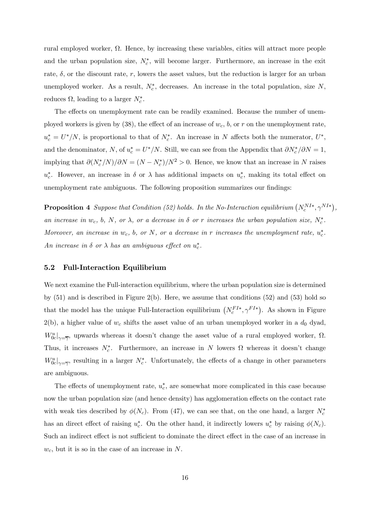rural employed worker, Ω. Hence, by increasing these variables, cities will attract more people and the urban population size,  $N_c^*$ , will become larger. Furthermore, an increase in the exit rate,  $\delta$ , or the discount rate, r, lowers the asset values, but the reduction is larger for an urban unemployed worker. As a result,  $N_c^*$ , decreases. An increase in the total population, size N, reduces  $\Omega$ , leading to a larger  $N_c^*$ .

The effects on unemployment rate can be readily examined. Because the number of unemployed workers is given by (38), the effect of an increase of  $w_c$ ,  $b$ , or  $r$  on the unemployment rate,  $u_c^* = U^* / N$ , is proportional to that of  $N_c^*$ . An increase in N affects both the numerator,  $U^*$ , and the denominator, N, of  $u_c^* = U^* / N$ . Still, we can see from the Appendix that  $\partial N_c^* / \partial N = 1$ , implying that  $\partial (N_c^*/N)/\partial N = (N - N_c^*)/N^2 > 0$ . Hence, we know that an increase in N raises  $u_c^*$ . However, an increase in  $\delta$  or  $\lambda$  has additional impacts on  $u_c^*$ , making its total effect on unemployment rate ambiguous. The following proposition summarizes our findings:

**Proposition 4** Suppose that Condition (52) holds. In the No-Interaction equilibrium  $(N_c^{NI*}, \gamma^{NI*})$ , an increase in  $w_c$ , b, N, or  $\lambda$ , or a decrease in  $\delta$  or r increases the urban population size,  $N_c^*$ . Moreover, an increase in  $w_c$ , b, or N, or a decrease in r increases the unemployment rate,  $u_c^*$ . An increase in  $\delta$  or  $\lambda$  has an ambiguous effect on  $u_c^*$ .

#### 5.2 Full-Interaction Equilibrium

We next examine the Full-interaction equilibrium, where the urban population size is determined by (51) and is described in Figure 2(b). Here, we assume that conditions (52) and (53) hold so that the model has the unique Full-Interaction equilibrium  $(N_c^{FI*}, \gamma^{FI*})$ . As shown in Figure  $2(b)$ , a higher value of  $w_c$  shifts the asset value of an urban unemployed worker in a  $d_0$  dyad,  $W_{0c}^u|_{\gamma=\overline{\gamma}}$ , upwards whereas it doesn't change the asset value of a rural employed worker,  $\Omega$ . Thus, it increases  $N_c^*$ . Furthermore, an increase in N lowers  $\Omega$  whereas it doesn't change  $W_{0c}^u|_{\gamma=\overline{\gamma}}$ , resulting in a larger  $N_c^*$ . Unfortunately, the effects of a change in other parameters are ambiguous.

The effects of unemployment rate,  $u_c^*$ , are somewhat more complicated in this case because now the urban population size (and hence density) has agglomeration effects on the contact rate with weak ties described by  $\phi(N_c)$ . From (47), we can see that, on the one hand, a larger  $N_c^*$ has an direct effect of raising  $u_c^*$ . On the other hand, it indirectly lowers  $u_c^*$  by raising  $\phi(N_c)$ . Such an indirect effect is not sufficient to dominate the direct effect in the case of an increase in  $w_c$ , but it is so in the case of an increase in N.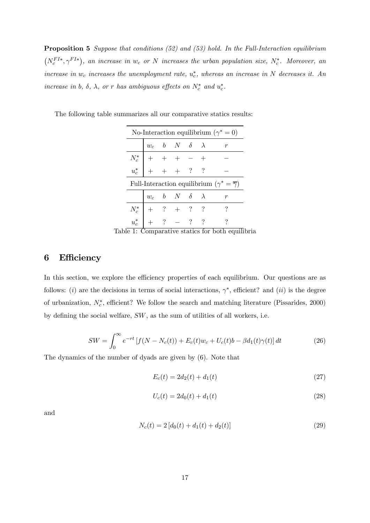**Proposition 5** Suppose that conditions (52) and (53) hold. In the Full-Interaction equilibrium  $(N_c^{FI*}, \gamma^{FI*})$ , an increase in  $w_c$  or N increases the urban population size,  $N_c^*$ . Moreover, an increase in  $w_c$  increases the unemployment rate,  $u_c^*$ , whereas an increase in N decreases it. An increase in b,  $\delta$ ,  $\lambda$ , or r has ambiguous effects on  $N_c^*$  and  $u_c^*$ .

| No-Interaction equilibrium ( $\gamma^* = 0$ )                 |                                                                                              |  |                                                     |  |  |  |
|---------------------------------------------------------------|----------------------------------------------------------------------------------------------|--|-----------------------------------------------------|--|--|--|
|                                                               |                                                                                              |  | $w_c \quad b \quad N \quad \delta \quad \; \lambda$ |  |  |  |
|                                                               | $\begin{array}{c cccc}\nN_c^* & + & + & + & - & + \\ u_c^* & + & + & + & ? & ?\n\end{array}$ |  |                                                     |  |  |  |
|                                                               |                                                                                              |  |                                                     |  |  |  |
| Full-Interaction equilibrium $(\gamma^* = \overline{\gamma})$ |                                                                                              |  |                                                     |  |  |  |
|                                                               |                                                                                              |  |                                                     |  |  |  |
|                                                               |                                                                                              |  | $w_c \quad b \quad N \quad \delta \quad \; \lambda$ |  |  |  |
|                                                               | $N_c^*$ + ? + ? ?<br>$u_c^*$ + ? - ? ?                                                       |  |                                                     |  |  |  |

The following table summarizes all our comparative statics results:

Table 1: Comparative statics for both equilibria

## 6 Efficiency

In this section, we explore the efficiency properties of each equilibrium. Our questions are as follows: (i) are the decisions in terms of social interactions,  $\gamma^*$ , efficient? and (ii) is the degree of urbanization,  $N_c^*$ , efficient? We follow the search and matching literature (Pissarides, 2000) by defining the social welfare,  $SW$ , as the sum of utilities of all workers, i.e.

$$
SW = \int_0^\infty e^{-rt} \left[ f(N - N_c(t)) + E_c(t)w_c + U_c(t)b - \beta d_1(t)\gamma(t) \right] dt \tag{26}
$$

The dynamics of the number of dyads are given by (6). Note that

$$
E_c(t) = 2d_2(t) + d_1(t)
$$
\n(27)

$$
U_c(t) = 2d_0(t) + d_1(t)
$$
\n(28)

and

$$
N_c(t) = 2\left[d_0(t) + d_1(t) + d_2(t)\right]
$$
\n(29)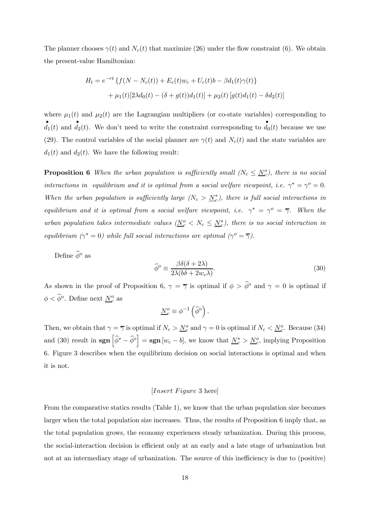The planner chooses  $\gamma(t)$  and  $N_c(t)$  that maximize (26) under the flow constraint (6). We obtain the present-value Hamiltonian:

$$
H_t = e^{-rt} \{ f(N - N_c(t)) + E_c(t)w_c + U_c(t)b - \beta d_1(t)\gamma(t) \} + \mu_1(t)[2\lambda d_0(t) - (\delta + g(t))d_1(t)] + \mu_2(t)[g(t)d_1(t) - \delta d_2(t)]
$$

where  $\mu_1(t)$  and  $\mu_2(t)$  are the Lagrangian multipliers (or co-state variables) corresponding to  $d_1(t)$  and  $d_2(t)$ . We don't need to write the constraint corresponding to  $d_0(t)$  because we use (29). The control variables of the social planner are  $\gamma(t)$  and  $N_c(t)$  and the state variables are  $d_1(t)$  and  $d_2(t)$ . We have the following result:

**Proposition 6** When the urban population is sufficiently small  $(N_c \leq N_c^o)$ , there is no social interactions in equilibrium and it is optimal from a social welfare viewpoint, i.e.  $\gamma^* = \gamma^0 = 0$ . When the urban population is sufficiently large  $(N_c > N_c^*)$ , there is full social interactions in equilibrium and it is optimal from a social welfare viewpoint, i.e.  $\gamma^* = \gamma^o = \overline{\gamma}$ . When the urban population takes intermediate values  $(N_c^o < N_c \le N_c^*)$ , there is no social interaction in equilibrium ( $\gamma^* = 0$ ) while full social interactions are optimal ( $\gamma^o = \overline{\gamma}$ ).

Define  $\widehat{\phi}^o$  as

$$
\widehat{\phi}^o \equiv \frac{\beta \delta(\delta + 2\lambda)}{2\lambda(b\delta + 2w_c\lambda)}.\tag{30}
$$

As shown in the proof of Proposition 6,  $\gamma = \overline{\gamma}$  is optimal if  $\phi > \hat{\phi}^o$  and  $\gamma = 0$  is optimal if  $\phi < \widehat{\phi}^o$ . Define next  $\underline{N}_c^o$  as

$$
\underline{N}^o_c \equiv \phi^{-1}\left(\widehat{\phi}^o\right).
$$

Then, we obtain that  $\gamma = \overline{\gamma}$  is optimal if  $N_c > \underline{N_c^o}$  and  $\gamma = 0$  is optimal if  $N_c < \underline{N_c^o}$ . Because (34) and (30) result in  $\text{sgn}\left[\widehat{\phi}^* - \widehat{\phi}^o\right] = \text{sgn}\left[w_c - b\right]$ , we know that  $\underline{N}_c^* > \underline{N}_c^o$ , implying Proposition 6. Figure 3 describes when the equilibrium decision on social interactions is optimal and when it is not.

#### $[Insert \, Figure\, 3 \, here]$

From the comparative statics results (Table 1), we know that the urban population size becomes larger when the total population size increases. Thus, the results of Proposition 6 imply that, as the total population grows, the economy experiences steady urbanization. During this process, the social-interaction decision is efficient only at an early and a late stage of urbanization but not at an intermediary stage of urbanization. The source of this inefficiency is due to (positive)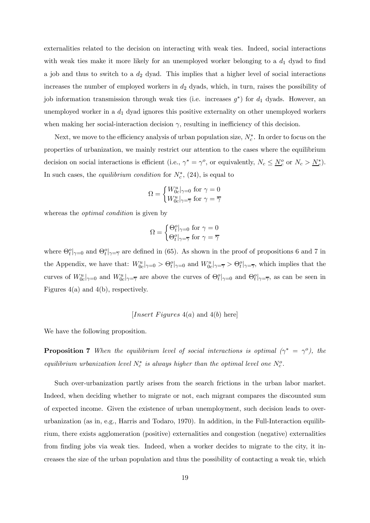externalities related to the decision on interacting with weak ties. Indeed, social interactions with weak ties make it more likely for an unemployed worker belonging to a  $d_1$  dyad to find a job and thus to switch to a  $d_2$  dyad. This implies that a higher level of social interactions increases the number of employed workers in  $d_2$  dyads, which, in turn, raises the possibility of job information transmission through weak ties (i.e. increases  $g^*$ ) for  $d_1$  dyads. However, an unemployed worker in a  $d_1$  dyad ignores this positive externality on other unemployed workers when making her social-interaction decision  $\gamma$ , resulting in inefficiency of this decision.

Next, we move to the efficiency analysis of urban population size,  $N_c^*$ . In order to focus on the properties of urbanization, we mainly restrict our attention to the cases where the equilibrium decision on social interactions is efficient (i.e.,  $\gamma^* = \gamma^o$ , or equivalently,  $N_c \leq \underline{N}_c^o$  or  $N_c > \underline{N}_c^*$ ). In such cases, the *equilibrium condition* for  $N_c^*$ , (24), is equal to

$$
\Omega = \begin{cases} W_{0c}^u|_{\gamma=0} \text{ for } \gamma=0 \\ W_{0c}^u|_{\gamma=\overline{\gamma}} \text{ for } \gamma=\overline{\gamma} \end{cases}
$$

whereas the *optimal condition* is given by

$$
\Omega = \begin{cases} \Theta_t^o|_{\gamma=0} \text{ for } \gamma = 0\\ \Theta_t^o|_{\gamma=\overline{\gamma}} \text{ for } \gamma = \overline{\gamma} \end{cases}
$$

where  $\Theta_t^o|_{\gamma=0}$  and  $\Theta_t^o|_{\gamma=\overline{\gamma}}$  are defined in (65). As shown in the proof of propositions 6 and 7 in the Appendix, we have that:  $W_{0c}^u|_{\gamma=0} > \Theta_t^o|_{\gamma=0}$  and  $W_{0c}^u|_{\gamma=\overline{\gamma}} > \Theta_t^o|_{\gamma=\overline{\gamma}}$ , which implies that the curves of  $W^u_{0c}$ ,  $\sim$  and  $W^u_{0c}$ ,  $\sim$  are above the curves of  $\Theta^o_t$ ,  $\sim$  and  $\Theta^o_t$ , as can be seen in Figures 4(a) and 4(b), respectively.

[ 4() and 4() here]

We have the following proposition.

**Proposition 7** When the equilibrium level of social interactions is optimal ( $\gamma^* = \gamma^o$ ), the equilibrium urbanization level  $N_c^*$  is always higher than the optimal level one  $N_c^o$ .

Such over-urbanization partly arises from the search frictions in the urban labor market. Indeed, when deciding whether to migrate or not, each migrant compares the discounted sum of expected income. Given the existence of urban unemployment, such decision leads to overurbanization (as in, e.g., Harris and Todaro, 1970). In addition, in the Full-Interaction equilibrium, there exists agglomeration (positive) externalities and congestion (negative) externalities from finding jobs via weak ties. Indeed, when a worker decides to migrate to the city, it increases the size of the urban population and thus the possibility of contacting a weak tie, which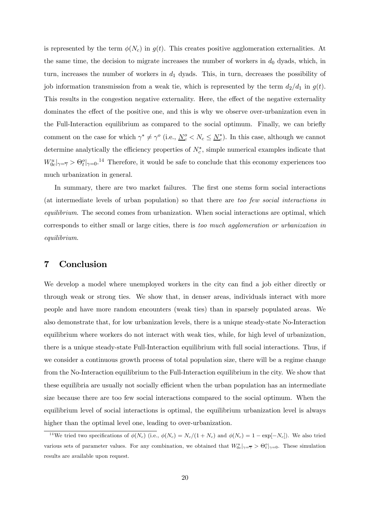is represented by the term  $\phi(N_c)$  in  $g(t)$ . This creates positive agglomeration externalities. At the same time, the decision to migrate increases the number of workers in  $d_0$  dyads, which, in turn, increases the number of workers in  $d_1$  dyads. This, in turn, decreases the possibility of job information transmission from a weak tie, which is represented by the term  $d_2/d_1$  in  $g(t)$ . This results in the congestion negative externality. Here, the effect of the negative externality dominates the effect of the positive one, and this is why we observe over-urbanization even in the Full-Interaction equilibrium as compared to the social optimum. Finally, we can briefly comment on the case for which  $\gamma^* \neq \gamma^o$  (i.e.,  $\underline{N}_c^o \leq N_c \leq \underline{N}_c^*$ ). In this case, although we cannot determine analytically the efficiency properties of  $N_c^*$ , simple numerical examples indicate that  $W_{0c}^u|_{\gamma=\overline{\gamma}} > \Theta_c^o|_{\gamma=0}.$ <sup>14</sup> Therefore, it would be safe to conclude that this economy experiences too much urbanization in general.

In summary, there are two market failures. The first one stems form social interactions (at intermediate levels of urban population) so that there are too few social interactions in equilibrium. The second comes from urbanization. When social interactions are optimal, which corresponds to either small or large cities, there is too much agglomeration or urbanization in equilibrium.

## 7 Conclusion

We develop a model where unemployed workers in the city can find a job either directly or through weak or strong ties. We show that, in denser areas, individuals interact with more people and have more random encounters (weak ties) than in sparsely populated areas. We also demonstrate that, for low urbanization levels, there is a unique steady-state No-Interaction equilibrium where workers do not interact with weak ties, while, for high level of urbanization, there is a unique steady-state Full-Interaction equilibrium with full social interactions. Thus, if we consider a continuous growth process of total population size, there will be a regime change from the No-Interaction equilibrium to the Full-Interaction equilibrium in the city. We show that these equilibria are usually not socially efficient when the urban population has an intermediate size because there are too few social interactions compared to the social optimum. When the equilibrium level of social interactions is optimal, the equilibrium urbanization level is always higher than the optimal level one, leading to over-urbanization.

<sup>&</sup>lt;sup>14</sup>We tried two specifications of  $\phi(N_c)$  (i.e.,  $\phi(N_c) = N_c/(1 + N_c)$  and  $\phi(N_c) = 1 - \exp[-N_c]$ ). We also tried various sets of parameter values. For any combination, we obtained that  $W_{0c}^u|_{\gamma=\overline{\gamma}} > \Theta_c^o|_{\gamma=0}$ . These simulation results are available upon request.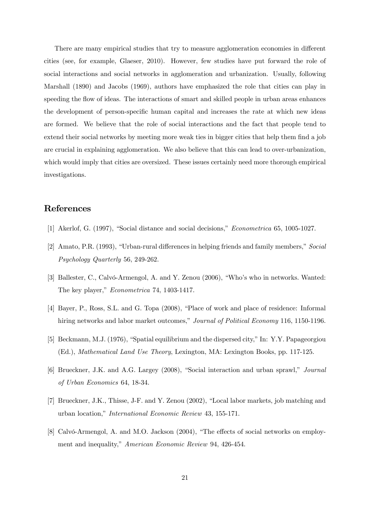There are many empirical studies that try to measure agglomeration economies in different cities (see, for example, Glaeser, 2010). However, few studies have put forward the role of social interactions and social networks in agglomeration and urbanization. Usually, following Marshall (1890) and Jacobs (1969), authors have emphasized the role that cities can play in speeding the flow of ideas. The interactions of smart and skilled people in urban areas enhances the development of person-specific human capital and increases the rate at which new ideas are formed. We believe that the role of social interactions and the fact that people tend to extend their social networks by meeting more weak ties in bigger cities that help them find a job are crucial in explaining agglomeration. We also believe that this can lead to over-urbanization, which would imply that cities are oversized. These issues certainly need more thorough empirical investigations.

## References

- [1] Akerlof, G. (1997), "Social distance and social decisions," Econometrica 65, 1005-1027.
- [2] Amato, P.R. (1993), "Urban-rural differences in helping friends and family members," Social Psychology Quarterly 56, 249-262.
- [3] Ballester, C., Calvó-Armengol, A. and Y. Zenou (2006), "Who's who in networks. Wanted: The key player," Econometrica 74, 1403-1417.
- [4] Bayer, P., Ross, S.L. and G. Topa (2008), "Place of work and place of residence: Informal hiring networks and labor market outcomes," Journal of Political Economy 116, 1150-1196.
- [5] Beckmann, M.J. (1976), "Spatial equilibrium and the dispersed city," In: Y.Y. Papageorgiou (Ed.), Mathematical Land Use Theory, Lexington, MA: Lexington Books, pp. 117-125.
- [6] Brueckner, J.K. and A.G. Largey (2008), "Social interaction and urban sprawl," Journal of Urban Economics 64, 18-34.
- [7] Brueckner, J.K., Thisse, J-F. and Y. Zenou (2002), "Local labor markets, job matching and urban location," International Economic Review 43, 155-171.
- [8] Calvó-Armengol, A. and M.O. Jackson (2004), "The effects of social networks on employment and inequality," American Economic Review 94, 426-454.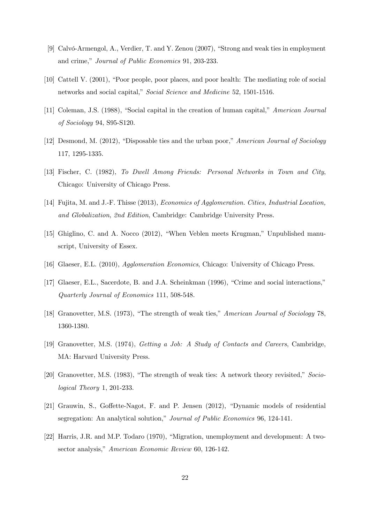- [9] Calvó-Armengol, A., Verdier, T. and Y. Zenou (2007), "Strong and weak ties in employment and crime," Journal of Public Economics 91, 203-233.
- [10] Cattell V. (2001), "Poor people, poor places, and poor health: The mediating role of social networks and social capital," Social Science and Medicine 52, 1501-1516.
- [11] Coleman, J.S. (1988), "Social capital in the creation of human capital," American Journal of Sociology 94, S95-S120.
- [12] Desmond, M. (2012), "Disposable ties and the urban poor," American Journal of Sociology 117, 1295-1335.
- [13] Fischer, C. (1982), To Dwell Among Friends: Personal Networks in Town and City, Chicago: University of Chicago Press.
- [14] Fujita, M. and J.-F. Thisse (2013), *Economics of Agglomeration. Cities, Industrial Location*, and Globalization, 2nd Edition, Cambridge: Cambridge University Press.
- [15] Ghiglino, C. and A. Nocco (2012), "When Veblen meets Krugman," Unpublished manuscript, University of Essex.
- [16] Glaeser, E.L. (2010), Agglomeration Economics, Chicago: University of Chicago Press.
- [17] Glaeser, E.L., Sacerdote, B. and J.A. Scheinkman (1996), "Crime and social interactions," Quarterly Journal of Economics 111, 508-548.
- [18] Granovetter, M.S. (1973), "The strength of weak ties," American Journal of Sociology 78, 1360-1380.
- [19] Granovetter, M.S. (1974), Getting a Job: A Study of Contacts and Careers, Cambridge, MA: Harvard University Press.
- [20] Granovetter, M.S. (1983), "The strength of weak ties: A network theory revisited," Sociological Theory 1, 201-233.
- [21] Grauwin, S., Goffette-Nagot, F. and P. Jensen (2012), "Dynamic models of residential segregation: An analytical solution," Journal of Public Economics 96, 124-141.
- [22] Harris, J.R. and M.P. Todaro (1970), "Migration, unemployment and development: A twosector analysis," American Economic Review 60, 126-142.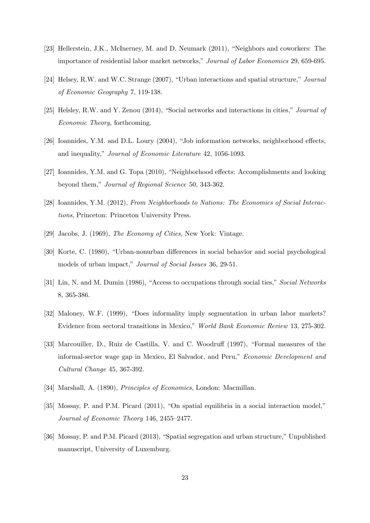- [23] Hellerstein, J.K., McInerney, M. and D. Neumark (2011), "Neighbors and coworkers: The importance of residential labor market networks," Journal of Labor Economics 29, 659-695.
- [24] Helsey, R.W. and W.C. Strange (2007), "Urban interactions and spatial structure," Journal of Economic Geography 7, 119-138.
- [25] Helsley, R.W. and Y. Zenou (2014), "Social networks and interactions in cities," Journal of Economic Theory, forthcoming.
- [26] Ioannides, Y.M. and D.L. Loury (2004), "Job information networks, neighborhood effects, and inequality," Journal of Economic Literature 42, 1056-1093.
- [27] Ioannides, Y.M. and G. Topa (2010), "Neighborhood effects: Accomplishments and looking beyond them," Journal of Regional Science 50, 343-362.
- [28] Ioannides, Y.M. (2012), From Neighborhoods to Nations: The Economics of Social Interactions, Princeton: Princeton University Press.
- [29] Jacobs, J. (1969), The Economy of Cities, New York: Vintage.
- [30] Korte, C. (1980), "Urban-nonurban differences in social behavior and social psychological models of urban impact," Journal of Social Issues 36, 29-51.
- [31] Lin, N. and M. Dumin (1986), "Access to occupations through social ties," Social Networks 8, 365-386.
- [32] Maloney, W.F. (1999), "Does informality imply segmentation in urban labor markets? Evidence from sectoral transitions in Mexico," World Bank Economic Review 13, 275-302.
- [33] Marcouiller, D., Ruiz de Castilla, V. and C. Woodruff (1997), "Formal measures of the informal-sector wage gap in Mexico, El Salvador, and Peru," Economic Development and Cultural Change 45, 367-392.
- [34] Marshall, A. (1890), Principles of Economics, London: Macmillan.
- [35] Mossay, P. and P.M. Picard (2011), "On spatial equilibria in a social interaction model," Journal of Economic Theory 146, 2455—2477.
- [36] Mossay, P. and P.M. Picard (2013), "Spatial segregation and urban structure," Unpublished manuscript, University of Luxemburg.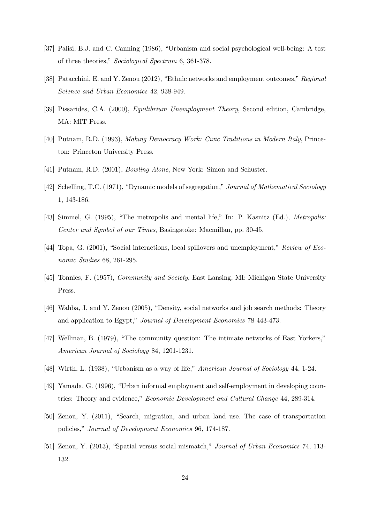- [37] Palisi, B.J. and C. Canning (1986), "Urbanism and social psychological well-being: A test of three theories," Sociological Spectrum 6, 361-378.
- [38] Patacchini, E. and Y. Zenou (2012), "Ethnic networks and employment outcomes," Regional Science and Urban Economics 42, 938-949.
- [39] Pissarides, C.A. (2000), Equilibrium Unemployment Theory, Second edition, Cambridge, MA: MIT Press.
- [40] Putnam, R.D. (1993), Making Democracy Work: Civic Traditions in Modern Italy, Princeton: Princeton University Press.
- [41] Putnam, R.D. (2001), Bowling Alone, New York: Simon and Schuster.
- [42] Schelling, T.C. (1971), "Dynamic models of segregation," Journal of Mathematical Sociology 1, 143-186.
- [43] Simmel, G. (1995), "The metropolis and mental life," In: P. Kasnitz (Ed.), Metropolis: Center and Symbol of our Times, Basingstoke: Macmillan, pp. 30-45.
- [44] Topa, G. (2001), "Social interactions, local spillovers and unemployment," Review of Economic Studies 68, 261-295.
- [45] Tonnies, F. (1957), *Community and Society*, East Lansing, MI: Michigan State University Press.
- [46] Wahba, J, and Y. Zenou (2005), "Density, social networks and job search methods: Theory and application to Egypt," Journal of Development Economics 78 443-473.
- [47] Wellman, B. (1979), "The community question: The intimate networks of East Yorkers," American Journal of Sociology 84, 1201-1231.
- [48] Wirth, L. (1938), "Urbanism as a way of life," American Journal of Sociology 44, 1-24.
- [49] Yamada, G. (1996), "Urban informal employment and self-employment in developing countries: Theory and evidence," Economic Development and Cultural Change 44, 289-314.
- [50] Zenou, Y. (2011), "Search, migration, and urban land use. The case of transportation policies," Journal of Development Economics 96, 174-187.
- [51] Zenou, Y. (2013), "Spatial versus social mismatch," Journal of Urban Economics 74, 113- 132.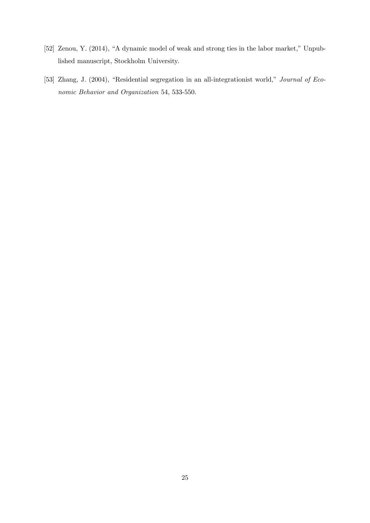- [52] Zenou, Y. (2014), "A dynamic model of weak and strong ties in the labor market," Unpublished manuscript, Stockholm University.
- [53] Zhang, J. (2004), "Residential segregation in an all-integrationist world," Journal of Economic Behavior and Organization 54, 533-550.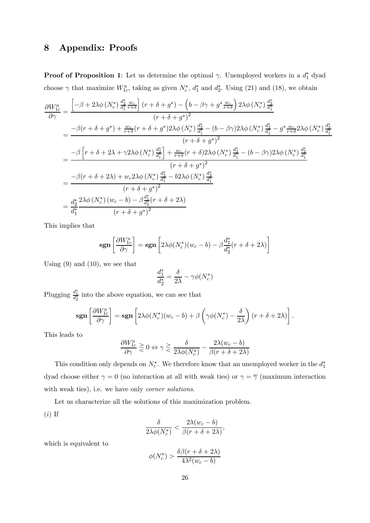## 8 Appendix: Proofs

**Proof of Proposition 1**: Let us determine the optimal  $\gamma$ . Unemployed workers in a  $d_1^*$  dyad choose  $\gamma$  that maximize  $W_{1c}^u$ , taking as given  $N_c^*$ ,  $d_1^*$  and  $d_2^*$ . Using (21) and (18), we obtain

$$
\frac{\partial W_{1c}^{u}}{\partial \gamma} = \frac{\left[-\beta + 2\lambda\phi\left(N_{c}^{*}\right)\frac{d_{2}^{*}}{d_{1}^{*}}\frac{w_{c}}{r+\delta}\right]\left(r+\delta+g^{*}\right)-\left(b-\beta\gamma+g^{*}\frac{w_{c}}{r+\delta}\right)2\lambda\phi\left(N_{c}^{*}\right)\frac{d_{2}^{*}}{d_{1}^{*}}}{\left(r+\delta+g^{*}\right)^{2}}
$$
\n
$$
= \frac{-\beta(r+\delta+g^{*})+\frac{w_{x}}{r+\delta}(r+\delta+g^{*})2\lambda\phi\left(N_{c}^{*}\right)\frac{d_{2}^{*}}{d_{1}^{*}}-(b-\beta\gamma)2\lambda\phi\left(N_{c}^{*}\right)\frac{d_{2}^{*}}{d_{1}^{*}}-g^{*}\frac{w_{c}}{r+\delta}2\lambda\phi\left(N_{c}^{*}\right)\frac{d_{2}^{*}}{d_{1}^{*}}}{\left(r+\delta+g^{*}\right)^{2}}
$$
\n
$$
= \frac{-\beta\left[r+\delta+2\lambda+\gamma2\lambda\phi\left(N_{c}^{*}\right)\frac{d_{2}^{*}}{d_{1}^{*}}\right]+\frac{w_{c}}{r+\delta}(r+\delta)2\lambda\phi\left(N_{c}^{*}\right)\frac{d_{2}^{*}}{d_{1}^{*}}-(b-\beta\gamma)2\lambda\phi\left(N_{c}^{*}\right)\frac{d_{2}^{*}}{d_{1}^{*}}}{\left(r+\delta+g^{*}\right)^{2}}
$$
\n
$$
= \frac{-\beta(r+\delta+2\lambda)+w_{c}2\lambda\phi\left(N_{c}^{*}\right)\frac{d_{2}^{*}}{d_{1}^{*}}-b2\lambda\phi\left(N_{c}^{*}\right)\frac{d_{2}^{*}}{d_{1}^{*}}}{\left(r+\delta+g^{*}\right)^{2}}
$$
\n
$$
= \frac{d_{2}^{*}}{d_{1}^{*}}\frac{2\lambda\phi\left(N_{c}^{*}\right)\left(w_{c}-b\right)-\beta\frac{d_{1}^{*}}{d_{2}^{*}}(r+\delta+2\lambda)}{(r+\delta+g^{*})^{2}}
$$

This implies that

$$
\operatorname{\mathbf{sgn}}\left[\frac{\partial W^u_{1c}}{\partial \gamma}\right] = \operatorname{\mathbf{sgn}}\left[2\lambda \phi(N_c^*)(w_c - b) - \beta \frac{d_1^*}{d_2^*}(r + \delta + 2\lambda)\right]
$$

Using  $(9)$  and  $(10)$ , we see that

$$
\frac{d_1^*}{d_2^*} = \frac{\delta}{2\lambda} - \gamma \phi(N_c^*)
$$

Plugging  $\frac{d_1^*}{d_2^*}$  into the above equation, we can see that

$$
\operatorname{sgn}\left[\frac{\partial W_{1c}^u}{\partial \gamma}\right] = \operatorname{sgn}\left[2\lambda \phi(N_c^*)(w_c - b) + \beta \left(\gamma \phi(N_c^*) - \frac{\delta}{2\lambda}\right)(r + \delta + 2\lambda)\right].
$$

This leads to

$$
\frac{\partial W_{1c}^u}{\partial \gamma} \geq 0 \Leftrightarrow \gamma \geq \frac{\delta}{2\lambda \phi(N_c^*)} - \frac{2\lambda (w_c - b)}{\beta (r + \delta + 2\lambda)}
$$

This condition only depends on  $N_c^*$ . We therefore know that an unemployed worker in the  $d_1^*$ dyad choose either  $\gamma = 0$  (no interaction at all with weak ties) or  $\gamma = \overline{\gamma}$  (maximum interaction with weak ties), i.e. we have only corner solutions.

Let us characterize all the solutions of this maximization problem.

$$
(i)
$$
 If

$$
\frac{\delta}{2\lambda\phi(N^*_c)} < \frac{2\lambda(w_c - b)}{\beta(r + \delta + 2\lambda)},
$$

which is equivalent to

$$
\phi(N_c^*) > \frac{\delta\beta(r+\delta+2\lambda)}{4\lambda^2(w_c-b)}
$$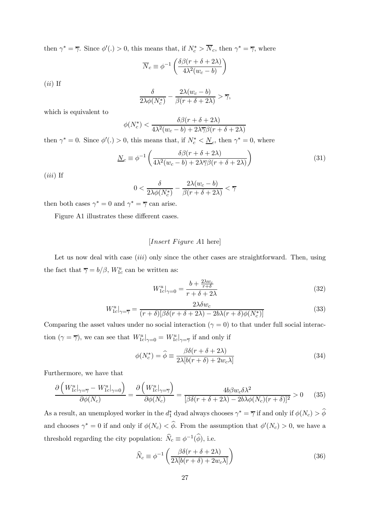then  $\gamma^* = \overline{\gamma}$ . Since  $\phi'(.) > 0$ , this means that, if  $N_c^* > N_c$ , then  $\gamma^* = \overline{\gamma}$ , where

$$
\overline{N}_c \equiv \phi^{-1} \left( \frac{\delta \beta (r + \delta + 2\lambda)}{4\lambda^2 (w_c - b)} \right)
$$

 $(ii)$  If

$$
\frac{\delta}{2\lambda\phi(N_c^*)} - \frac{2\lambda(w_c - b)}{\beta(r + \delta + 2\lambda)} > \overline{\gamma},
$$

which is equivalent to

$$
\phi(N_c^*) < \frac{\delta\beta(r+\delta+2\lambda)}{4\lambda^2(w_c-b)+2\lambda\overline{\gamma}\beta(r+\delta+2\lambda)}
$$

then  $\gamma^* = 0$ . Since  $\phi'(.) > 0$ , this means that, if  $N_c^* < \underline{N}_c$ , then  $\gamma^* = 0$ , where

$$
\underline{N}_c \equiv \phi^{-1} \left( \frac{\delta \beta (r + \delta + 2\lambda)}{4\lambda^2 (w_c - b) + 2\lambda \overline{\gamma} \beta (r + \delta + 2\lambda)} \right) \tag{31}
$$

 $(iii)$  If

$$
0<\frac{\delta}{2\lambda\phi(N^*_c)}-\frac{2\lambda(w_c-b)}{\beta(r+\delta+2\lambda)}<\overline{\gamma}
$$

then both cases  $\gamma^* = 0$  and  $\gamma^* = \overline{\gamma}$  can arise.

Figure A1 illustrates these different cases.

## $[Insert \, Figure \, A1 \, here]$

Let us now deal with case  $(iii)$  only since the other cases are straightforward. Then, using the fact that  $\overline{\gamma} = b/\beta$ ,  $W_{1c}^{u}$  can be written as:

$$
W_{1c}^{u}|_{\gamma=0} = \frac{b + \frac{2\lambda w_c}{r + \delta}}{r + \delta + 2\lambda}
$$
\n(32)

$$
W_{1c}^{u}|_{\gamma=\overline{\gamma}} = \frac{2\lambda\delta w_c}{(r+\delta)[\beta\delta(r+\delta+2\lambda)-2b\lambda(r+\delta)\phi(N_c^*)]}
$$
(33)

Comparing the asset values under no social interaction  $(\gamma = 0)$  to that under full social interaction  $(\gamma = \overline{\gamma})$ , we can see that  $W^u_{1c}|_{\gamma=0} = W^u_{1c}|_{\gamma=\overline{\gamma}}$  if and only if

$$
\phi(N_c^*) = \hat{\phi} \equiv \frac{\beta \delta(r + \delta + 2\lambda)}{2\lambda [b(r + \delta) + 2w_c \lambda]}
$$
\n(34)

Furthermore, we have that

$$
\frac{\partial \left( W_{1c}^{u} \big|_{\gamma=\overline{\gamma}} - W_{1c}^{u} \big|_{\gamma=0} \right)}{\partial \phi(N_c)} = \frac{\partial \left( W_{1c}^{u} \big|_{\gamma=\overline{\gamma}} \right)}{\partial \phi(N_c)} = \frac{4b\beta w_c \delta \lambda^2}{\left[ \beta \delta (r + \delta + 2\lambda) - 2b\lambda \phi(N_c)(r + \delta) \right]^2} > 0 \tag{35}
$$

As a result, an unemployed worker in the  $d_1^*$  dyad always chooses  $\gamma^* = \overline{\gamma}$  if and only if  $\phi(N_c) > \phi$ and chooses  $\gamma^* = 0$  if and only if  $\phi(N_c) < \phi$ . From the assumption that  $\phi'(N_c) > 0$ , we have a threshold regarding the city population:  $\widehat{N}_c \equiv \phi^{-1}(\widehat{\phi})$ , i.e.

$$
\widehat{N}_c \equiv \phi^{-1} \left( \frac{\beta \delta (r + \delta + 2\lambda)}{2\lambda [b(r + \delta) + 2w_c \lambda]} \right) \tag{36}
$$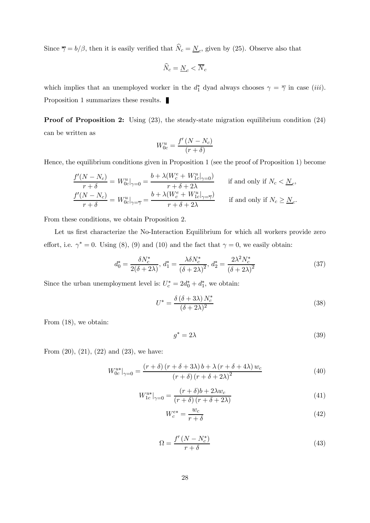Since  $\overline{\gamma} = b/\beta$ , then it is easily verified that  $\widehat{N}_c = \underline{N}_c$ , given by (25). Observe also that

$$
\widehat{N}_c = \underline{N}_c < \overline{N}_c
$$

which implies that an unemployed worker in the  $d_1^*$  dyad always chooses  $\gamma = \overline{\gamma}$  in case (*iii*). Proposition 1 summarizes these results.

Proof of Proposition 2: Using (23), the steady-state migration equilibrium condition (24) can be written as

$$
W_{0c}^{u} = \frac{f'(N - N_c)}{(r + \delta)}
$$

Hence, the equilibrium conditions given in Proposition 1 (see the proof of Proposition 1) become

$$
\frac{f'(N - N_c)}{r + \delta} = W_{0c}^u|_{\gamma = 0} = \frac{b + \lambda(W_c^e + W_{1c}^u|_{\gamma = 0})}{r + \delta + 2\lambda}
$$
 if and only if  $N_c < N_c$ ,  
\n
$$
\frac{f'(N - N_c)}{r + \delta} = W_{0c}^u|_{\gamma = \overline{\gamma}} = \frac{b + \lambda(W_c^e + W_{1c}^u|_{\gamma = \overline{\gamma}})}{r + \delta + 2\lambda}
$$
 if and only if  $N_c \ge N_c$ .

From these conditions, we obtain Proposition 2.

Let us first characterize the No-Interaction Equilibrium for which all workers provide zero effort, i.e.  $\gamma^* = 0$ . Using (8), (9) and (10) and the fact that  $\gamma = 0$ , we easily obtain:

$$
d_0^* = \frac{\delta N_c^*}{2(\delta + 2\lambda)}, \ d_1^* = \frac{\lambda \delta N_c^*}{(\delta + 2\lambda)^2}, \ d_2^* = \frac{2\lambda^2 N_c^*}{(\delta + 2\lambda)^2}
$$
(37)

Since the urban unemployment level is:  $U_c^* = 2d_0^* + d_1^*$ , we obtain:

$$
U^* = \frac{\delta \left(\delta + 3\lambda\right) N_c^*}{\left(\delta + 2\lambda\right)^2} \tag{38}
$$

From (18), we obtain:

$$
g^* = 2\lambda \tag{39}
$$

From  $(20)$ ,  $(21)$ ,  $(22)$  and  $(23)$ , we have:

$$
W_{0c}^{u*}|_{\gamma=0} = \frac{(r+\delta)(r+\delta+3\lambda)b+\lambda(r+\delta+4\lambda)w_c}{(r+\delta)(r+\delta+2\lambda)^2}
$$
(40)

$$
W_{1c}^{u*}|_{\gamma=0} = \frac{(r+\delta)b + 2\lambda w_c}{(r+\delta)(r+\delta+2\lambda)}
$$
\n(41)

$$
W_c^{e*} = \frac{w_c}{r + \delta} \tag{42}
$$

$$
\Omega = \frac{f'(N - N_c^*)}{r + \delta} \tag{43}
$$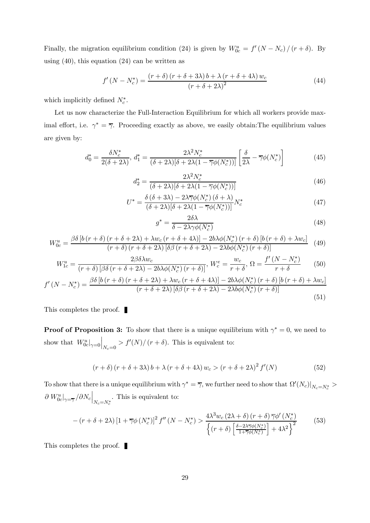Finally, the migration equilibrium condition (24) is given by  $W_{0c}^u = f'(N - N_c)/(r + \delta)$ . By using  $(40)$ , this equation  $(24)$  can be written as

$$
f'(N - N_c^*) = \frac{(r + \delta)(r + \delta + 3\lambda)b + \lambda(r + \delta + 4\lambda)w_c}{(r + \delta + 2\lambda)^2}
$$
(44)

which implicitly defined  $N_c^*$ .

Let us now characterize the Full-Interaction Equilibrium for which all workers provide maximal effort, i.e.  $\gamma^* = \overline{\gamma}$ . Proceeding exactly as above, we easily obtain: The equilibrium values are given by:

$$
d_0^* = \frac{\delta N_c^*}{2(\delta + 2\lambda)}, \ d_1^* = \frac{2\lambda^2 N_c^*}{(\delta + 2\lambda)[\delta + 2\lambda(1 - \overline{\gamma}\phi(N_c^*))]} \left[\frac{\delta}{2\lambda} - \overline{\gamma}\phi(N_c^*)\right]
$$
(45)

$$
d_2^* = \frac{2\lambda^2 N_c^*}{(\delta + 2\lambda)[\delta + 2\lambda(1 - \overline{\gamma}\phi(N_c^*))]}
$$
(46)

$$
U^* = \frac{\delta(\delta + 3\lambda) - 2\lambda \overline{\gamma}\phi(N_c^*) (\delta + \lambda)}{(\delta + 2\lambda)[\delta + 2\lambda(1 - \overline{\gamma}\phi(N_c^*))]} N_c^*
$$
(47)

$$
g^* = \frac{2\delta\lambda}{\delta - 2\lambda\gamma\phi(N_c^*)}
$$
(48)

$$
W_{0c}^{u} = \frac{\beta \delta \left[ b \left( r + \delta \right) \left( r + \delta + 2\lambda \right) + \lambda w_{c} \left( r + \delta + 4\lambda \right) \right] - 2b\lambda \phi \left( N_{c}^{*} \right) \left( r + \delta \right) \left[ b \left( r + \delta \right) + \lambda w_{c} \right]}{\left( r + \delta \right) \left( r + \delta + 2\lambda \right) \left[ \delta \beta \left( r + \delta + 2\lambda \right) - 2\lambda b \phi \left( N_{c}^{*} \right) \left( r + \delta \right) \right]} \tag{49}
$$

$$
W_{1c}^{u} = \frac{2\beta\delta\lambda w_{c}}{(r+\delta)\left[\beta\delta\left(r+\delta+2\lambda\right)-2b\lambda\phi\left(N_{c}^{*}\right)\left(r+\delta\right)\right]},\ W_{c}^{e} = \frac{w_{c}}{r+\delta},\ \Omega = \frac{f'(N-N_{c}^{*})}{r+\delta} \tag{50}
$$

$$
f'(N - N_c^*) = \frac{\beta \delta \left[ b\left(r + \delta\right) \left(r + \delta + 2\lambda\right) + \lambda w_c \left(r + \delta + 4\lambda\right) \right] - 2b\lambda \phi(N_c^*) \left(r + \delta\right) \left[ b\left(r + \delta\right) + \lambda w_c \right]}{\left(r + \delta + 2\lambda\right) \left[ \delta \beta \left(r + \delta + 2\lambda\right) - 2\lambda b \phi(N_c^*) \left(r + \delta\right) \right]}
$$
\n
$$
(51)
$$

This completes the proof.  $\blacksquare$ 

**Proof of Proposition 3:** To show that there is a unique equilibrium with  $\gamma^* = 0$ , we need to show that  $W^u_{0c}|_{\gamma=0}$  $\Big|_{N_c=0}$  >  $f'(N)/(r+\delta)$ . This is equivalent to:

$$
(r+\delta)(r+\delta+3\lambda) b + \lambda (r+\delta+4\lambda) w_c > (r+\delta+2\lambda)^2 f'(N)
$$
 (52)

To show that there is a unique equilibrium with  $\gamma^* = \overline{\gamma}$ , we further need to show that  $\Omega'(N_c)|_{N_c = N_c^*} >$  $\partial \left. W^u_{0c}\right|_{\gamma=\overline{\gamma}}/\partial N_c\Big|_{N_c=N^*_c}$ . This is equivalent to:

$$
-(r+\delta+2\lambda)\left[1+\overline{\gamma}\phi\left(N_c^*\right)\right]^2f''\left(N-N_c^*\right) > \frac{4\lambda^3w_c\left(2\lambda+\delta\right)\left(r+\delta\right)\overline{\gamma}\phi'\left(N_c^*\right)}{\left\{\left(r+\delta\right)\left[\frac{\delta-2\lambda\overline{\gamma}\phi\left(N_c^*\right)}{1+\overline{\gamma}\phi\left(N_c^*\right)}\right]+4\lambda^2\right\}^2}
$$
(53)

This completes the proof.  $\blacksquare$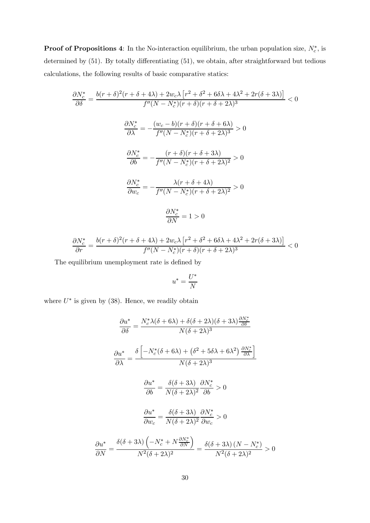**Proof of Propositions 4:** In the No-interaction equilibrium, the urban population size,  $N_c^*$ , is determined by (51). By totally differentiating (51), we obtain, after straightforward but tedious calculations, the following results of basic comparative statics:

$$
\frac{\partial N_c^*}{\partial \delta} = \frac{b(r+\delta)^2(r+\delta+4\lambda) + 2w_c\lambda \left[r^2 + \delta^2 + 6\delta\lambda + 4\lambda^2 + 2r(\delta+3\lambda)\right]}{f''(N-N_c^*)(r+\delta)(r+\delta+2\lambda)^3} < 0
$$

$$
\frac{\partial N_c^*}{\partial \lambda} = -\frac{(w_c - b)(r+\delta)(r+\delta+6\lambda)}{f''(N-N_c^*)(r+\delta+2\lambda)^3} > 0
$$

$$
\frac{\partial N_c^*}{\partial b} = -\frac{(r+\delta)(r+\delta+3\lambda)}{f''(N-N_c^*)(r+\delta+2\lambda)^2} > 0
$$

$$
\frac{\partial N_c^*}{\partial w_c} = -\frac{\lambda(r+\delta+4\lambda)}{f''(N-N_c^*)(r+\delta+2\lambda)^2} > 0
$$

$$
\frac{\partial N_c^*}{\partial N} = 1 > 0
$$

$$
\frac{\partial N_c^*}{\partial r} = \frac{b(r+\delta)^2(r+\delta+4\lambda)+2w_c\lambda\left[r^2+\delta^2+6\delta\lambda+4\lambda^2+2r(\delta+3\lambda)\right]}{f''(N-N_c^*)(r+\delta)(r+\delta+2\lambda)^3} < 0
$$

The equilibrium unemployment rate is defined by

$$
u^* = \frac{U^*}{N}
$$

where  $U^*$  is given by (38). Hence, we readily obtain

$$
\frac{\partial u^*}{\partial \delta} = \frac{N_c^* \lambda (\delta + 6\lambda) + \delta(\delta + 2\lambda)(\delta + 3\lambda) \frac{\partial N_c^*}{\partial \delta}}{N(\delta + 2\lambda)^3}
$$

$$
\frac{\partial u^*}{\partial \lambda} = \frac{\delta \left[ -N_c^*(\delta + 6\lambda) + (\delta^2 + 5\delta\lambda + 6\lambda^2) \frac{\partial N_c^*}{\partial \lambda} \right]}{N(\delta + 2\lambda)^3}
$$

$$
\frac{\partial u^*}{\partial b} = \frac{\delta(\delta + 3\lambda)}{N(\delta + 2\lambda)^2} \frac{\partial N_c^*}{\partial b} > 0
$$

$$
\frac{\partial u^*}{\partial w_c} = \frac{\delta(\delta + 3\lambda)}{N(\delta + 2\lambda)^2} \frac{\partial N_c^*}{\partial w_c} > 0
$$

$$
\frac{\partial u^*}{\partial N} = \frac{\delta(\delta + 3\lambda) \left( -N_c^* + N \frac{\partial N_c^*}{\partial N} \right)}{N^2(\delta + 2\lambda)^2} = \frac{\delta(\delta + 3\lambda) (N - N_c^*)}{N^2(\delta + 2\lambda)^2} > 0
$$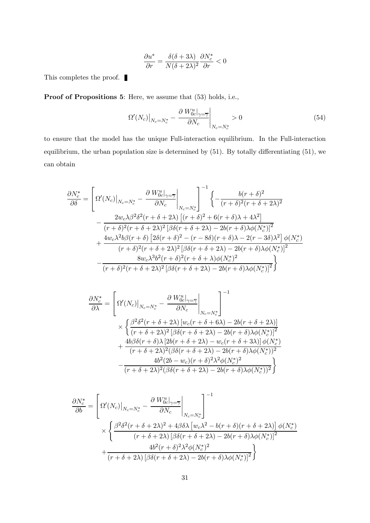$$
\frac{\partial u^*}{\partial r} = \frac{\delta(\delta + 3\lambda)}{N(\delta + 2\lambda)^2} \frac{\partial N_c^*}{\partial r} < 0
$$

This completes the proof.  $\blacksquare$ 

Proof of Propositions 5: Here, we assume that  $(53)$  holds, i.e.,

$$
\Omega'(N_c)|_{N_c = N_c^*} - \frac{\partial W_{0c}^u|_{\gamma = \overline{\gamma}}}{\partial N_c}|_{N_c = N_c^*} > 0
$$
\n(54)

to ensure that the model has the unique Full-interaction equilibrium. In the Full-interaction equilibrium, the urban population size is determined by (51). By totally differentiating (51), we can obtain

$$
\frac{\partial N_c^*}{\partial \delta} = \left[ \Omega'(N_c) \Big|_{N_c = N_c^*} - \frac{\partial W_{0c}^u|_{\gamma = \overline{\gamma}}}{\partial N_c} \Big|_{N_c = N_c^*} \right]^{-1} \left\{ -\frac{b(r+\delta)^2}{(r+\delta)^2(r+\delta+2\lambda)^2} - \frac{2w_c\lambda\beta^2\delta^2(r+\delta+2\lambda)\left[ (r+\delta)^2 + 6(r+\delta)\lambda + 4\lambda^2 \right]}{(r+\delta)^2(r+\delta+2\lambda)^2 \left[ \beta\delta(r+\delta+2\lambda) - 2b(r+\delta)\lambda\phi(N_c^*) \right]^2} + \frac{4w_c\lambda^2b\beta(r+\delta)\left[ 2\delta(r+\delta)^2 - (r-8\delta)(r+\delta)\lambda - 2(r-3\delta)\lambda^2 \right] \phi(N_c^*)}{(r+\delta)^2(r+\delta+2\lambda)^2 \left[ \beta\delta(r+\delta+2\lambda) - 2b(r+\delta)\lambda\phi(N_c^*) \right]^2} - \frac{8w_c\lambda^3b^2(r+\delta)^2(r+\delta+\lambda)\phi(N_c^*)^2}{(r+\delta)^2(r+\delta+2\lambda)^2 \left[ \beta\delta(r+\delta+2\lambda) - 2b(r+\delta)\lambda\phi(N_c^*) \right]^2} \right\}
$$

$$
\frac{\partial N_c^*}{\partial \lambda} = \left[ \Omega'(N_c) \Big|_{N_c = N_c^*} - \frac{\partial W_{0c}^u \Big|_{\gamma = \overline{\gamma}}}{\partial N_c} \Big|_{N_c = N_c^*} \right]^{-1}
$$
  
\$\times \left\{ \frac{\beta^2 \delta^2 (r + \delta + 2\lambda) \left[ w\_c (r + \delta + 6\lambda) - 2b(r + \delta + 2\lambda) \right]}{(r + \delta + 2\lambda)^2 \left[ \beta \delta (r + \delta + 2\lambda) - 2b(r + \delta) \lambda \phi(N\_c^\*) \right]^2 \right\}\$  
\$+ \frac{4b\beta \delta (r + \delta)\lambda \left[ 2b(r + \delta + 2\lambda) - w\_c (r + \delta + 3\lambda) \right] \phi(N\_c^\*) \right]^{-1}\$  
\$- \frac{4b^2 (2b - w\_c)(r + \delta)^2 \lambda^2 \phi(N\_c^\*)^2}{(r + \delta + 2\lambda)^2 (\beta \delta (r + \delta + 2\lambda) - 2b(r + \delta) \lambda \phi(N\_c^\*))^2} \right\}\$

$$
\frac{\partial N_c^*}{\partial b} = \left[ \Omega'(N_c) \Big|_{N_c = N_c^*} - \frac{\partial W_{0c}^u \Big|_{\gamma = \overline{\gamma}}}{\partial N_c} \Big|_{N_c = N_c^*} \right]^{-1}
$$
  
\$\times \left\{ \frac{\beta^2 \delta^2 (r + \delta + 2\lambda)^2 + 4\beta \delta \lambda \left[ w\_c \lambda^2 - b(r + \delta)(r + \delta + 2\lambda) \right] \phi(N\_c^\*)}{(r + \delta + 2\lambda) \left[ \beta \delta (r + \delta + 2\lambda) - 2b(r + \delta) \lambda \phi(N\_c^\*) \right]^2} + \frac{4b^2 (r + \delta)^2 \lambda^2 \phi(N\_c^\*)^2}{(r + \delta + 2\lambda) \left[ \beta \delta (r + \delta + 2\lambda) - 2b(r + \delta) \lambda \phi(N\_c^\*) \right]^2} \right\}\$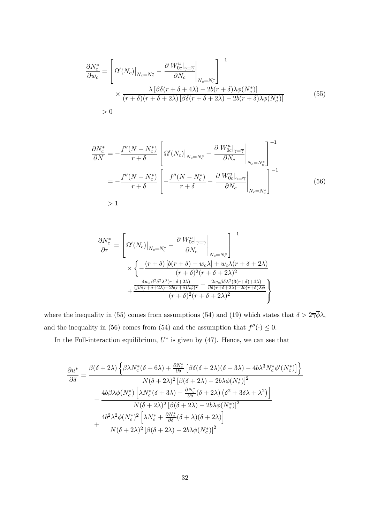$$
\frac{\partial N_c^*}{\partial w_c} = \left[ \Omega'(N_c) \Big|_{N_c = N_c^*} - \frac{\partial W_{0c}^u \Big|_{\gamma = \overline{\gamma}}}{\partial N_c} \Big|_{N_c = N_c^*} \right]^{-1} \times \frac{\lambda \left[ \beta \delta(r + \delta + 4\lambda) - 2b(r + \delta) \lambda \phi(N_c^*) \right]}{(r + \delta)(r + \delta + 2\lambda) \left[ \beta \delta(r + \delta + 2\lambda) - 2b(r + \delta) \lambda \phi(N_c^*) \right]} > 0 \tag{55}
$$

$$
\frac{\partial N_c^*}{\partial N} = -\frac{f''(N - N_c^*)}{r + \delta} \left[ \Omega'(N_c) \Big|_{N_c = N_c^*} - \frac{\partial W_{0c}^u|_{\gamma = \overline{\gamma}}}{\partial N_c} \Big|_{N_c = N_c^*} \right]^{-1}
$$

$$
= -\frac{f''(N - N_c^*)}{r + \delta} \left[ -\frac{f''(N - N_c^*)}{r + \delta} - \frac{\partial W_{0c}^u|_{\gamma = \overline{\gamma}}}{\partial N_c} \Big|_{N_c = N_c^*} \right]^{-1}
$$
(56)
$$
> 1
$$

$$
\frac{\partial N_c^*}{\partial r} = \left[ \Omega'(N_c) \Big|_{N_c = N_c^*} - \frac{\partial W_{0c}^u|_{\gamma = \overline{\gamma}}}{\partial N_c} \Big|_{N_c = N_c^*} \right]^{-1} \times \left\{ -\frac{(r+\delta)[b(r+\delta) + w_c\lambda] + w_c\lambda(r+\delta+2\lambda)}{(r+\delta)^2(r+\delta+2\lambda)^2} + \frac{\frac{4w_c\beta^2\delta^2\lambda^3(r+\delta+2\lambda)}{(\beta\delta(r+\delta+2\lambda) - 2b(r+\delta)\lambda\phi)^2} - \frac{2w_c\beta\delta\lambda^2(3(r+\delta)+4\lambda)}{\beta\delta(r+\delta+2\lambda) - 2b(r+\delta)\lambda\phi}} \right\}
$$

where the inequality in (55) comes from assumptions (54) and (19) which states that  $\delta > 2\overline{\gamma}\overline{\phi}\lambda$ , and the inequality in (56) comes from (54) and the assumption that  $f''(·)\leq 0$ .

In the Full-interaction equilibrium,  $U^*$  is given by (47). Hence, we can see that

$$
\begin{aligned}\n\frac{\partial u^*}{\partial \delta} &= \frac{\beta(\delta+2\lambda)\left\{\beta\lambda N_c^*(\delta+6\lambda)+\frac{\partial N_c^*}{\partial \delta}\left[\beta\delta(\delta+2\lambda)(\delta+3\lambda)-4b\lambda^3 N_c^*\phi'(N_c^*)\right]\right\}}{N(\delta+2\lambda)^2\left[\beta(\delta+2\lambda)-2b\lambda\phi(N_c^*)\right]^2} \\
&\quad -\frac{4b\beta\lambda\phi(N_c^*)\left[\lambda N_c^*(\delta+3\lambda)+\frac{\partial N_c^*}{\partial \delta}(\delta+2\lambda)\left(\delta^2+3\delta\lambda+\lambda^2\right)\right]}{N(\delta+2\lambda)^2\left[\beta(\delta+2\lambda)-2b\lambda\phi(N_c^*)\right]^2} \\
&\quad +\frac{4b^2\lambda^2\phi(N_c^*)^2\left[\lambda N_c^*+\frac{\partial N_c^*}{\partial \delta}(\delta+\lambda)(\delta+2\lambda)\right]}{N(\delta+2\lambda)^2\left[\beta(\delta+2\lambda)-2b\lambda\phi(N_c^*)\right]^2}\n\end{aligned}
$$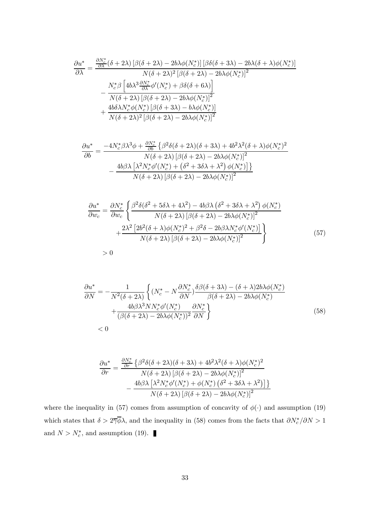$$
\begin{split} \frac{\partial u^*}{\partial \lambda} &= \frac{\frac{\partial N_c^*}{\partial \lambda}(\delta+2\lambda)\left[\beta(\delta+2\lambda)-2b\lambda\phi(N_c^*)\right]\left[\beta\delta(\delta+3\lambda)-2b\lambda(\delta+\lambda)\phi(N_c^*)\right]}{N(\delta+2\lambda)^2\left[\beta(\delta+2\lambda)-2b\lambda\phi(N_c^*)\right]^2} \\ &- \frac{N_c^*\beta\left[4b\lambda^3\frac{\partial N_c^*}{\partial \lambda}\phi'(N_c^*)+\beta\delta(\delta+6\lambda)\right]}{N(\delta+2\lambda)\left[\beta(\delta+2\lambda)-2b\lambda\phi(N_c^*)\right]^2} \\ &+ \frac{4b\delta\lambda N_c^*\phi(N_c^*)\left[\beta(\delta+3\lambda)-b\lambda\phi(N_c^*)\right]}{N(\delta+2\lambda)^2\left[\beta(\delta+2\lambda)-2b\lambda\phi(N_c^*)\right]^2} \end{split}
$$

$$
\frac{\partial u^*}{\partial b} = \frac{-4N_c^*\beta\lambda^3\phi + \frac{\partial N_c^*}{\partial b}\left\{\beta^2\delta(\delta + 2\lambda)(\delta + 3\lambda) + 4b^2\lambda^2(\delta + \lambda)\phi(N_c^*)^2\right\}}{N(\delta + 2\lambda)\left[\beta(\delta + 2\lambda) - 2b\lambda\phi(N_c^*)\right]^2}
$$

$$
-\frac{4b\beta\lambda\left[\lambda^2N_c^*\phi'(N_c^*) + (\delta^2 + 3\delta\lambda + \lambda^2)\phi(N_c^*)\right]\right\}}{N(\delta + 2\lambda)\left[\beta(\delta + 2\lambda) - 2b\lambda\phi(N_c^*)\right]^2}
$$

$$
\frac{\partial u^*}{\partial w_c} = \frac{\partial N_c^*}{\partial w_c} \left\{ \frac{\beta^2 \delta(\delta^2 + 5\delta\lambda + 4\lambda^2) - 4b\beta\lambda (\delta^2 + 3\delta\lambda + \lambda^2) \phi(N_c^*)}{N(\delta + 2\lambda) [\beta(\delta + 2\lambda) - 2b\lambda\phi(N_c^*)]^2} + \frac{2\lambda^2 [2b^2(\delta + \lambda)\phi(N_c^*)^2 + \beta^2\delta - 2b\beta\lambda N_c^*\phi'(N_c^*)]}{N(\delta + 2\lambda) [\beta(\delta + 2\lambda) - 2b\lambda\phi(N_c^*)]^2} \right\}
$$
(57)

$$
> 0
$$

$$
\frac{\partial u^*}{\partial N} = -\frac{1}{N^2(\delta + 2\lambda)} \left\{ (N_c^* - N \frac{\partial N_c^*}{\partial N}) \frac{\delta \beta (\delta + 3\lambda) - (\delta + \lambda) 2b\lambda \phi(N_c^*)}{\beta (\delta + 2\lambda) - 2b\lambda \phi(N_c^*)} + \frac{4b\beta \lambda^3 NN_c^* \phi'(N_c^*)}{(\beta (\delta + 2\lambda) - 2b\lambda \phi(N_c^*))^2} \frac{\partial N_c^*}{\partial N} \right\}
$$
(58)

$$
\frac{\partial u^*}{\partial r} = \frac{\frac{\partial N_c^*}{\partial r} \left\{ \beta^2 \delta(\delta + 2\lambda)(\delta + 3\lambda) + 4b^2 \lambda^2 (\delta + \lambda) \phi(N_c^*)^2}{N(\delta + 2\lambda) \left[ \beta(\delta + 2\lambda) - 2b\lambda \phi(N_c^*) \right]^2} - \frac{4b\beta \lambda \left[ \lambda^2 N_c^* \phi'(N_c^*) + \phi(N_c^*) \left( \delta^2 + 3\delta \lambda + \lambda^2 \right) \right] \right\}}{N(\delta + 2\lambda) \left[ \beta(\delta + 2\lambda) - 2b\lambda \phi(N_c^*) \right]^2}
$$

where the inequality in (57) comes from assumption of concavity of  $\phi(\cdot)$  and assumption (19) which states that  $\delta > 2\overline{\gamma}\phi\lambda$ , and the inequality in (58) comes from the facts that  $\partial N_c^*/\partial N > 1$ and  $N > N_c^*$ , and assumption (19).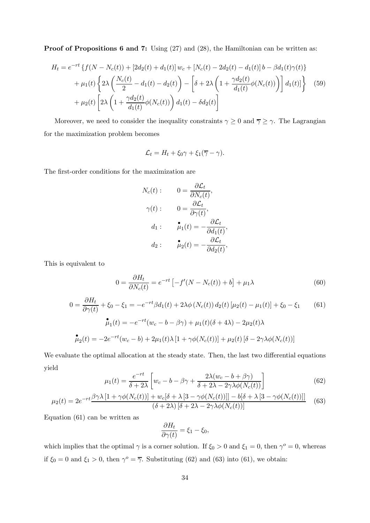Proof of Propositions 6 and 7: Using (27) and (28), the Hamiltonian can be written as:

$$
H_t = e^{-rt} \left\{ f(N - N_c(t)) + [2d_2(t) + d_1(t)] w_c + [N_c(t) - 2d_2(t) - d_1(t)] b - \beta d_1(t) \gamma(t) \right\}
$$
  
+ 
$$
\mu_1(t) \left\{ 2\lambda \left( \frac{N_c(t)}{2} - d_1(t) - d_2(t) \right) - \left[ \delta + 2\lambda \left( 1 + \frac{\gamma d_2(t)}{d_1(t)} \phi(N_c(t)) \right) \right] d_1(t) \right\} \tag{59}
$$
  
+ 
$$
\mu_2(t) \left[ 2\lambda \left( 1 + \frac{\gamma d_2(t)}{d_1(t)} \phi(N_c(t)) \right) d_1(t) - \delta d_2(t) \right]
$$

Moreover, we need to consider the inequality constraints  $\gamma \geq 0$  and  $\overline{\gamma} \geq \gamma$ . The Lagrangian for the maximization problem becomes

$$
\mathcal{L}_t = H_t + \xi_0 \gamma + \xi_1 (\overline{\gamma} - \gamma).
$$

The first-order conditions for the maximization are

$$
N_c(t): \t 0 = \frac{\partial \mathcal{L}_t}{\partial N_c(t)},
$$
  

$$
\gamma(t): \t 0 = \frac{\partial \mathcal{L}_t}{\partial \gamma(t)},
$$
  

$$
d_1: \t \mathbf{L}_1(t) = -\frac{\partial \mathcal{L}_t}{\partial d_1(t)},
$$
  

$$
d_2: \t \mathbf{L}_2(t) = -\frac{\partial \mathcal{L}_t}{\partial d_2(t)},
$$

This is equivalent to

$$
0 = \frac{\partial H_t}{\partial N_c(t)} = e^{-rt} \left[ -f'(N - N_c(t)) + b \right] + \mu_1 \lambda \tag{60}
$$

$$
0 = \frac{\partial H_t}{\partial \gamma(t)} + \xi_0 - \xi_1 = -e^{-rt} \beta d_1(t) + 2\lambda \phi (N_c(t)) d_2(t) [\mu_2(t) - \mu_1(t)] + \xi_0 - \xi_1
$$
(61)  

$$
\mathbf{\hat{\mu}}_1(t) = -e^{-rt} (w_c - b - \beta \gamma) + \mu_1(t) (\delta + 4\lambda) - 2\mu_2(t) \lambda
$$
  

$$
\mathbf{\hat{\mu}}_2(t) = -2e^{-rt} (w_c - b) + 2\mu_1(t) \lambda [1 + \gamma \phi (N_c(t))] + \mu_2(t) [\delta - 2\gamma \lambda \phi (N_c(t))]
$$

We evaluate the optimal allocation at the steady state. Then, the last two differential equations yield

$$
\mu_1(t) = \frac{e^{-rt}}{\delta + 2\lambda} \left[ w_c - b - \beta \gamma + \frac{2\lambda (w_c - b + \beta \gamma)}{\delta + 2\lambda - 2\gamma \lambda \phi(N_c(t))} \right]
$$
(62)

$$
\mu_2(t) = 2e^{-rt} \frac{\beta \gamma \lambda \left[1 + \gamma \phi(N_c(t))\right] + w_c[\delta + \lambda \left[3 - \gamma \phi(N_c(t))\right]] - b[\delta + \lambda \left[3 - \gamma \phi(N_c(t))\right]]}{(\delta + 2\lambda) \left[\delta + 2\lambda - 2\gamma \lambda \phi(N_c(t))\right]}
$$
(63)

Equation (61) can be written as

$$
\frac{\partial H_t}{\partial \gamma(t)} = \xi_1 - \xi_0,
$$

which implies that the optimal  $\gamma$  is a corner solution. If  $\xi_0 > 0$  and  $\xi_1 = 0$ , then  $\gamma^o = 0$ , whereas if  $\xi_0 = 0$  and  $\xi_1 > 0$ , then  $\gamma^o = \overline{\gamma}$ . Substituting (62) and (63) into (61), we obtain: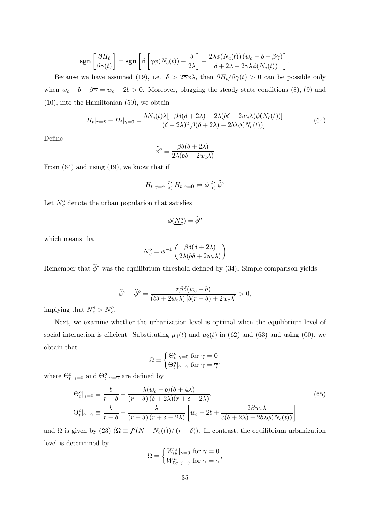$$
\mathbf{sgn}\left[\frac{\partial H_t}{\partial \gamma(t)}\right] = \mathbf{sgn}\left[\beta \left[\gamma \phi(N_c(t)) - \frac{\delta}{2\lambda}\right] + \frac{2\lambda \phi(N_c(t)) (w_c - b - \beta \gamma)}{\delta + 2\lambda - 2\gamma \lambda \phi(N_c(t))}\right]
$$

Because we have assumed (19), i.e.  $\delta > 2\overline{\gamma}\overline{\phi}\lambda$ , then  $\partial H_t/\partial \gamma(t) > 0$  can be possible only when  $w_c - b - \beta \overline{\gamma} = w_c - 2b > 0$ . Moreover, plugging the steady state conditions (8), (9) and (10), into the Hamiltonian (59), we obtain

$$
H_t|_{\gamma=\bar{\gamma}} - H_t|_{\gamma=0} = \frac{bN_c(t)\lambda[-\beta\delta(\delta+2\lambda)+2\lambda(b\delta+2w_c\lambda)\phi(N_c(t))]}{(\delta+2\lambda)^2[\beta(\delta+2\lambda)-2b\lambda\phi(N_c(t))]}
$$
(64)

 $\ddot{\phantom{0}}$ 

Define

$$
\hat{\phi}^o \equiv \frac{\beta \delta(\delta + 2\lambda)}{2\lambda(b\delta + 2w_c\lambda)}
$$

From (64) and using (19), we know that if

$$
H_t|_{\gamma=\bar{\gamma}} \ge H_t|_{\gamma=0} \Leftrightarrow \phi \ge \widehat{\phi}^o
$$

Let  $\underline{N}_c^o$  denote the urban population that satisfies

$$
\phi(\underline{N}_c^o) = \widehat{\phi}^o
$$

which means that

$$
\underline{N}_c^o = \phi^{-1}\left(\frac{\beta \delta(\delta + 2\lambda)}{2\lambda(b\delta + 2w_c\lambda)}\right)
$$

Remember that  $\hat{\phi}^*$  was the equilibrium threshold defined by (34). Simple comparison yields

$$
\widehat{\phi}^* - \widehat{\phi}^o = \frac{r\beta\delta(w_c - b)}{(b\delta + 2w_c\lambda)\left[b(r + \delta) + 2w_c\lambda\right]} > 0,
$$

implying that  $\underline{N}_c^* > \underline{N}_c^o$ .

Next, we examine whether the urbanization level is optimal when the equilibrium level of social interaction is efficient. Substituting  $\mu_1(t)$  and  $\mu_2(t)$  in (62) and (63) and using (60), we obtain that

$$
\Omega = \begin{cases} \Theta_t^o|_{\gamma=0} \text{ for } \gamma = 0\\ \Theta_t^o|_{\gamma=\overline{\gamma}} \text{ for } \gamma = \overline{\gamma} \end{cases}
$$

where  $\Theta_t^o|_{\gamma=0}$  and  $\Theta_t^o|_{\gamma=\overline{\gamma}}$  are defined by

$$
\Theta_t^o|_{\gamma=0} \equiv \frac{b}{r+\delta} - \frac{\lambda(w_c - b)(\delta + 4\lambda)}{(r+\delta)(\delta + 2\lambda)(r+\delta + 2\lambda)},
$$
\n
$$
\Theta_t^o|_{\gamma=\overline{\gamma}} \equiv \frac{b}{r+\delta} - \frac{\lambda}{(r+\delta)(r+\delta+2\lambda)} \left[ w_c - 2b + \frac{2\beta w_c \lambda}{c(\delta + 2\lambda) - 2b\lambda \phi(N_c(t))} \right]
$$
\n(65)

and  $\Omega$  is given by (23)  $(\Omega \equiv f'(N - N_c(t))/(r + \delta))$ . In contrast, the equilibrium urbanization level is determined by

$$
\Omega = \begin{cases} W_{0c}^{u}|_{\gamma=0} \text{ for } \gamma=0\\ W_{0c}^{u}|_{\gamma=\overline{\gamma}} \text{ for } \gamma=\overline{\gamma} \end{cases}
$$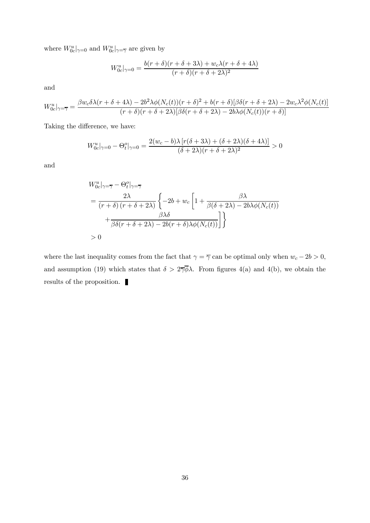where  $W^u_{0c}|_{\gamma=0}$  and  $W^u_{0c}|_{\gamma=\overline{\gamma}}$  are given by

$$
W_{0c}^{u}|_{\gamma=0} = \frac{b(r+\delta)(r+\delta+3\lambda)+w_c\lambda(r+\delta+4\lambda)}{(r+\delta)(r+\delta+2\lambda)^2}
$$

and

$$
W_{0c}^{u}|_{\gamma=\overline{\gamma}} = \frac{\beta w_c \delta \lambda (r + \delta + 4\lambda) - 2b^2 \lambda \phi(N_c(t)) (r + \delta)^2 + b(r + \delta) [\beta \delta (r + \delta + 2\lambda) - 2w_c \lambda^2 \phi(N_c(t))]}{(r + \delta)(r + \delta + 2\lambda) [\beta \delta (r + \delta + 2\lambda) - 2b \lambda \phi(N_c(t)) (r + \delta)]}
$$

Taking the difference, we have:

$$
W_{0c}^{u}|_{\gamma=0} - \Theta_{t}^{o}|_{\gamma=0} = \frac{2(w_{c}-b)\lambda [r(\delta+3\lambda) + (\delta+2\lambda)(\delta+4\lambda)]}{(\delta+2\lambda)(r+\delta+2\lambda)^{2}} > 0
$$

and

$$
W_{0c}^{u}|_{\gamma=\overline{\gamma}} - \Theta_{t}^{o}|_{\gamma=\overline{\gamma}}
$$
  
= 
$$
\frac{2\lambda}{(r+\delta)(r+\delta+2\lambda)} \left\{-2b + w_{c} \left[1 + \frac{\beta\lambda}{\beta(\delta+2\lambda) - 2b\lambda\phi(N_{c}(t))} + \frac{\beta\lambda\delta}{\beta\delta(r+\delta+2\lambda) - 2b(r+\delta)\lambda\phi(N_{c}(t))}\right]\right\}
$$
  
> 0

where the last inequality comes from the fact that  $\gamma = \overline{\gamma}$  can be optimal only when  $w_c - 2b > 0$ , and assumption (19) which states that  $\delta > 2\overline{\gamma}\overline{\phi}\lambda$ . From figures 4(a) and 4(b), we obtain the results of the proposition.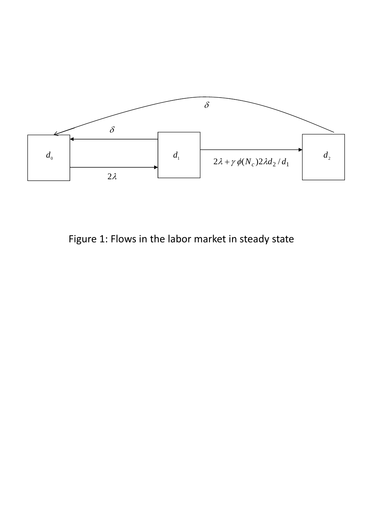

Figure 1: Flows in the labor market in steady state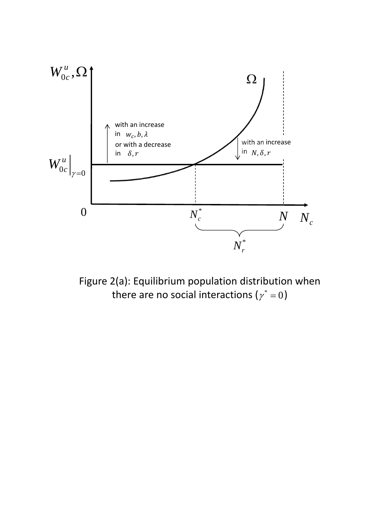

Figure 2(a): Equilibrium population distribution when there are no social interactions ( $\gamma^* = 0$ )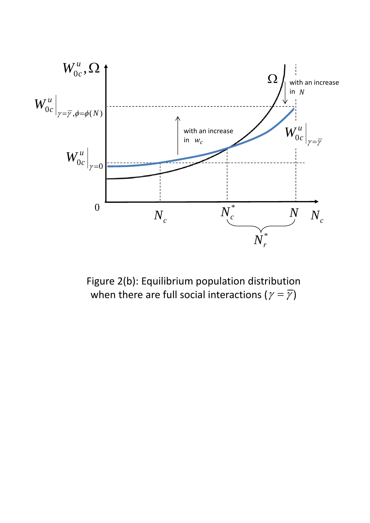

Figure 2(b): Equilibrium population distribution when there are full social interactions ( $\gamma = \overline{\gamma}$ )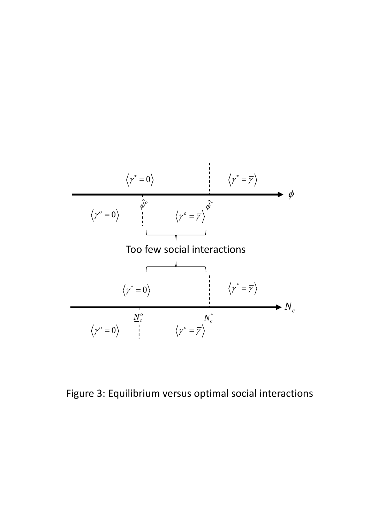

Figure 3: Equilibrium versus optimal social interactions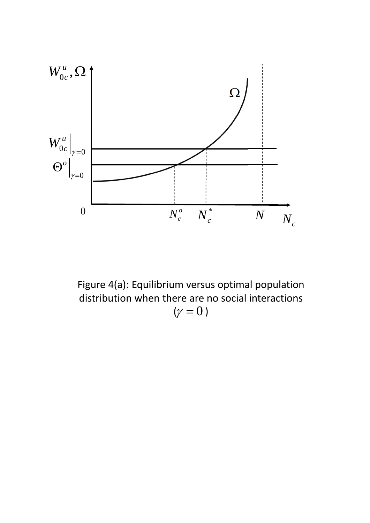

Figure 4(a): Equilibrium versus optimal population distribution when there are no social interactions  $(\gamma = 0)$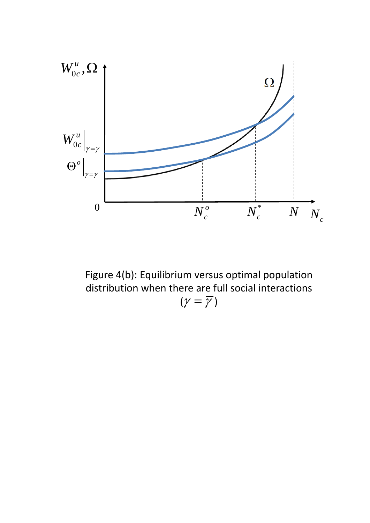

Figure 4(b): Equilibrium versus optimal population distribution when there are full social interactions  $(\gamma = \overline{\gamma})$